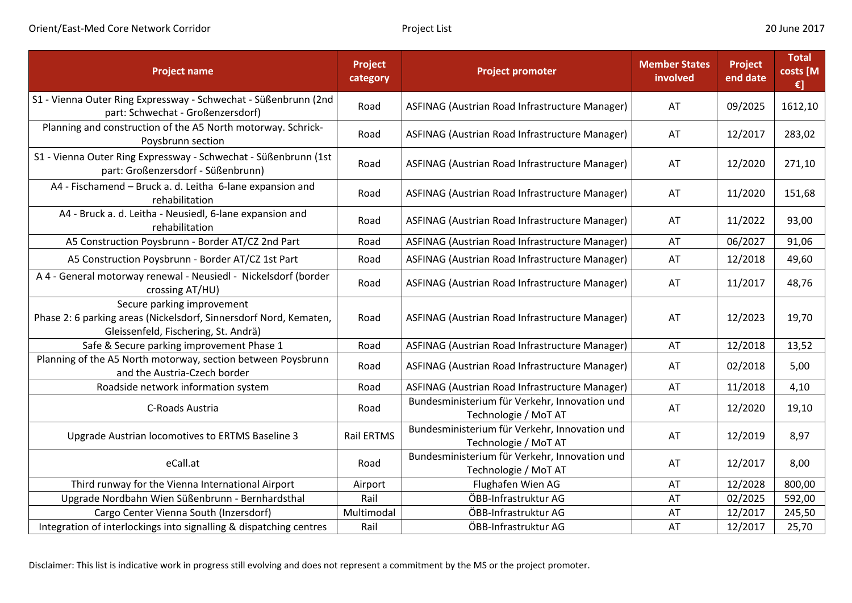| <b>Project name</b>                                                                                                                     | <b>Project</b><br>category | <b>Project promoter</b>                                               | <b>Member States</b><br>involved | Project<br>end date | <b>Total</b><br>costs [M<br>$\epsilon$ ] |
|-----------------------------------------------------------------------------------------------------------------------------------------|----------------------------|-----------------------------------------------------------------------|----------------------------------|---------------------|------------------------------------------|
| S1 - Vienna Outer Ring Expressway - Schwechat - Süßenbrunn (2nd<br>part: Schwechat - Großenzersdorf)                                    | Road                       | ASFINAG (Austrian Road Infrastructure Manager)                        | AT                               | 09/2025             | 1612,10                                  |
| Planning and construction of the A5 North motorway. Schrick-<br>Poysbrunn section                                                       | Road                       | ASFINAG (Austrian Road Infrastructure Manager)                        | AT                               | 12/2017             | 283,02                                   |
| S1 - Vienna Outer Ring Expressway - Schwechat - Süßenbrunn (1st<br>part: Großenzersdorf - Süßenbrunn)                                   | Road                       | ASFINAG (Austrian Road Infrastructure Manager)                        | AT                               | 12/2020             | 271,10                                   |
| A4 - Fischamend - Bruck a. d. Leitha 6-lane expansion and<br>rehabilitation                                                             | Road                       | ASFINAG (Austrian Road Infrastructure Manager)                        | AT                               | 11/2020             | 151,68                                   |
| A4 - Bruck a. d. Leitha - Neusiedl, 6-lane expansion and<br>rehabilitation                                                              | Road                       | ASFINAG (Austrian Road Infrastructure Manager)                        | AT                               | 11/2022             | 93,00                                    |
| A5 Construction Poysbrunn - Border AT/CZ 2nd Part                                                                                       | Road                       | ASFINAG (Austrian Road Infrastructure Manager)                        | AT                               | 06/2027             | 91,06                                    |
| A5 Construction Poysbrunn - Border AT/CZ 1st Part                                                                                       | Road                       | ASFINAG (Austrian Road Infrastructure Manager)                        | AT                               | 12/2018             | 49,60                                    |
| A 4 - General motorway renewal - Neusiedl - Nickelsdorf (border<br>crossing AT/HU)                                                      | Road                       | ASFINAG (Austrian Road Infrastructure Manager)                        | AT                               | 11/2017             | 48,76                                    |
| Secure parking improvement<br>Phase 2: 6 parking areas (Nickelsdorf, Sinnersdorf Nord, Kematen,<br>Gleissenfeld, Fischering, St. Andrä) | Road                       | ASFINAG (Austrian Road Infrastructure Manager)                        | AT                               | 12/2023             | 19,70                                    |
| Safe & Secure parking improvement Phase 1                                                                                               | Road                       | ASFINAG (Austrian Road Infrastructure Manager)                        | AT                               | 12/2018             | 13,52                                    |
| Planning of the A5 North motorway, section between Poysbrunn<br>and the Austria-Czech border                                            | Road                       | ASFINAG (Austrian Road Infrastructure Manager)                        | AT                               | 02/2018             | 5,00                                     |
| Roadside network information system                                                                                                     | Road                       | ASFINAG (Austrian Road Infrastructure Manager)                        | AT                               | 11/2018             | 4,10                                     |
| C-Roads Austria                                                                                                                         | Road                       | Bundesministerium für Verkehr, Innovation und<br>Technologie / MoT AT | AT                               | 12/2020             | 19,10                                    |
| Upgrade Austrian locomotives to ERTMS Baseline 3                                                                                        | <b>Rail ERTMS</b>          | Bundesministerium für Verkehr, Innovation und<br>Technologie / MoT AT | AT                               | 12/2019             | 8,97                                     |
| eCall.at                                                                                                                                | Road                       | Bundesministerium für Verkehr, Innovation und<br>Technologie / MoT AT | AT                               | 12/2017             | 8,00                                     |
| Third runway for the Vienna International Airport                                                                                       | Airport                    | Flughafen Wien AG                                                     | AT                               | 12/2028             | 800,00                                   |
| Upgrade Nordbahn Wien Süßenbrunn - Bernhardsthal                                                                                        | Rail                       | ÖBB-Infrastruktur AG                                                  | AT                               | 02/2025             | 592,00                                   |
| Cargo Center Vienna South (Inzersdorf)                                                                                                  | Multimodal                 | ÖBB-Infrastruktur AG                                                  | AT                               | 12/2017             | 245,50                                   |
| Integration of interlockings into signalling & dispatching centres                                                                      | Rail                       | ÖBB-Infrastruktur AG                                                  | AT                               | 12/2017             | 25,70                                    |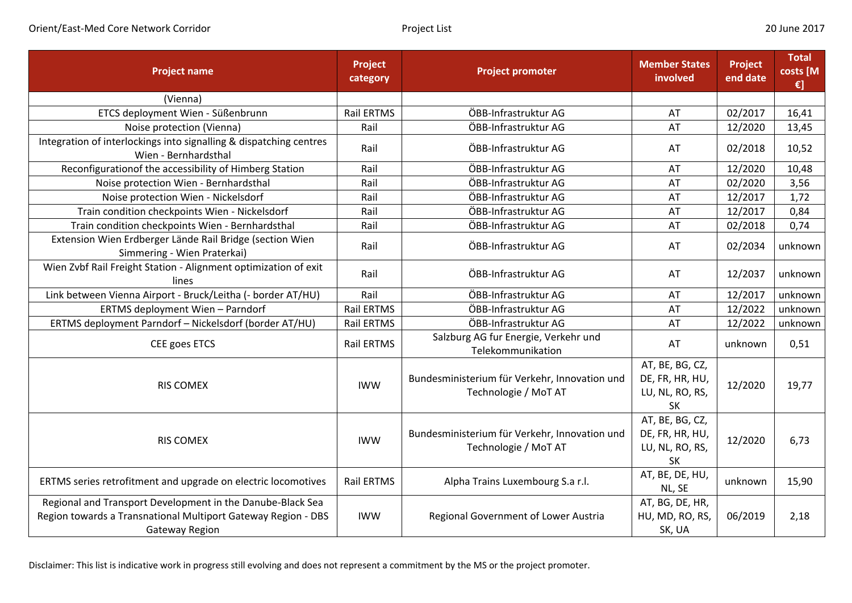| <b>Project name</b>                                                                                                                                  | Project<br>category | <b>Project promoter</b>                                               | <b>Member States</b><br>involved                                   | Project<br>end date | <b>Total</b><br>costs [M<br>€] |
|------------------------------------------------------------------------------------------------------------------------------------------------------|---------------------|-----------------------------------------------------------------------|--------------------------------------------------------------------|---------------------|--------------------------------|
| (Vienna)                                                                                                                                             |                     |                                                                       |                                                                    |                     |                                |
| ETCS deployment Wien - Süßenbrunn                                                                                                                    | <b>Rail ERTMS</b>   | ÖBB-Infrastruktur AG                                                  | AT                                                                 | 02/2017             | 16,41                          |
| Noise protection (Vienna)                                                                                                                            | Rail                | ÖBB-Infrastruktur AG                                                  | AT                                                                 | 12/2020             | 13,45                          |
| Integration of interlockings into signalling & dispatching centres<br>Wien - Bernhardsthal                                                           | Rail                | ÖBB-Infrastruktur AG                                                  | AT                                                                 | 02/2018             | 10,52                          |
| Reconfiguration of the accessibility of Himberg Station                                                                                              | Rail                | ÖBB-Infrastruktur AG                                                  | AT                                                                 | 12/2020             | 10,48                          |
| Noise protection Wien - Bernhardsthal                                                                                                                | Rail                | ÖBB-Infrastruktur AG                                                  | AT                                                                 | 02/2020             | 3,56                           |
| Noise protection Wien - Nickelsdorf                                                                                                                  | Rail                | ÖBB-Infrastruktur AG                                                  | AT                                                                 | 12/2017             | 1,72                           |
| Train condition checkpoints Wien - Nickelsdorf                                                                                                       | Rail                | ÖBB-Infrastruktur AG                                                  | AT                                                                 | 12/2017             | 0,84                           |
| Train condition checkpoints Wien - Bernhardsthal                                                                                                     | Rail                | ÖBB-Infrastruktur AG                                                  | AT                                                                 | 02/2018             | 0,74                           |
| Extension Wien Erdberger Lände Rail Bridge (section Wien<br>Simmering - Wien Praterkai)                                                              | Rail                | ÖBB-Infrastruktur AG                                                  | AT                                                                 | 02/2034             | unknown                        |
| Wien Zvbf Rail Freight Station - Alignment optimization of exit<br>lines                                                                             | Rail                | ÖBB-Infrastruktur AG                                                  | AT                                                                 | 12/2037             | unknown                        |
| Link between Vienna Airport - Bruck/Leitha (- border AT/HU)                                                                                          | Rail                | ÖBB-Infrastruktur AG                                                  | AT                                                                 | 12/2017             | unknown                        |
| ERTMS deployment Wien - Parndorf                                                                                                                     | <b>Rail ERTMS</b>   | ÖBB-Infrastruktur AG                                                  | AT                                                                 | 12/2022             | unknown                        |
| ERTMS deployment Parndorf - Nickelsdorf (border AT/HU)                                                                                               | Rail ERTMS          | ÖBB-Infrastruktur AG                                                  | AT                                                                 | 12/2022             | unknown                        |
| CEE goes ETCS                                                                                                                                        | Rail ERTMS          | Salzburg AG fur Energie, Verkehr und<br>Telekommunikation             | AT                                                                 | unknown             | 0,51                           |
| <b>RIS COMEX</b>                                                                                                                                     | <b>IWW</b>          | Bundesministerium für Verkehr, Innovation und<br>Technologie / MoT AT | AT, BE, BG, CZ,<br>DE, FR, HR, HU,<br>LU, NL, RO, RS,<br><b>SK</b> | 12/2020             | 19,77                          |
| <b>RIS COMEX</b>                                                                                                                                     | <b>IWW</b>          | Bundesministerium für Verkehr, Innovation und<br>Technologie / MoT AT | AT, BE, BG, CZ,<br>DE, FR, HR, HU,<br>LU, NL, RO, RS,<br><b>SK</b> | 12/2020             | 6,73                           |
| ERTMS series retrofitment and upgrade on electric locomotives                                                                                        | Rail ERTMS          | Alpha Trains Luxembourg S.a r.l.                                      | AT, BE, DE, HU,<br>NL, SE                                          | unknown             | 15,90                          |
| Regional and Transport Development in the Danube-Black Sea<br>Region towards a Transnational Multiport Gateway Region - DBS<br><b>Gateway Region</b> | <b>IWW</b>          | Regional Government of Lower Austria                                  | AT, BG, DE, HR,<br>HU, MD, RO, RS,<br>SK, UA                       | 06/2019             | 2,18                           |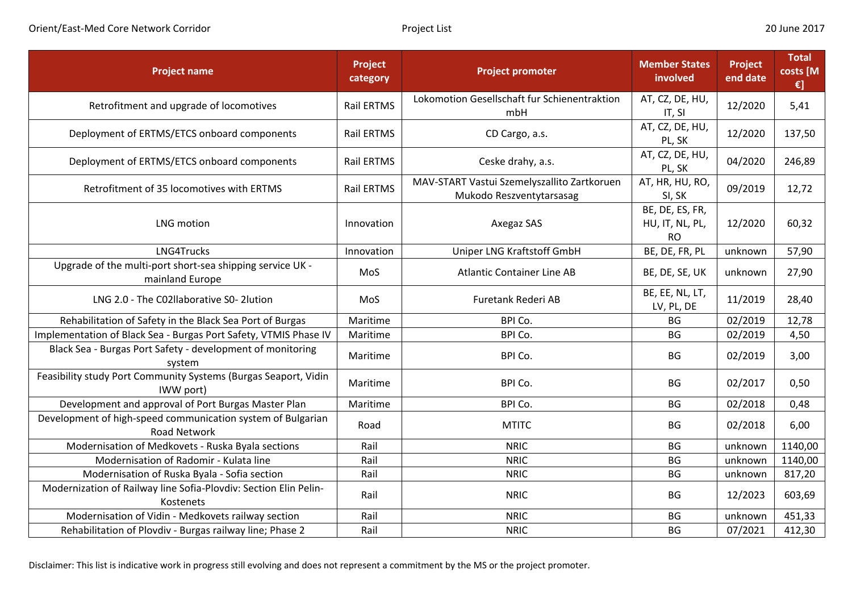| <b>Project name</b>                                                                | <b>Project</b><br>category | <b>Project promoter</b>                                                 | <b>Member States</b><br>involved                | Project<br>end date | <b>Total</b><br>costs [M<br>€] |
|------------------------------------------------------------------------------------|----------------------------|-------------------------------------------------------------------------|-------------------------------------------------|---------------------|--------------------------------|
| Retrofitment and upgrade of locomotives                                            | <b>Rail ERTMS</b>          | Lokomotion Gesellschaft fur Schienentraktion<br>mbH                     | AT, CZ, DE, HU,<br>IT, SI                       | 12/2020             | 5,41                           |
| Deployment of ERTMS/ETCS onboard components                                        | <b>Rail ERTMS</b>          | CD Cargo, a.s.                                                          | AT, CZ, DE, HU,<br>PL, SK                       | 12/2020             | 137,50                         |
| Deployment of ERTMS/ETCS onboard components                                        | Rail ERTMS                 | Ceske drahy, a.s.                                                       | AT, CZ, DE, HU,<br>PL, SK                       | 04/2020             | 246,89                         |
| Retrofitment of 35 locomotives with ERTMS                                          | <b>Rail ERTMS</b>          | MAV-START Vastui Szemelyszallito Zartkoruen<br>Mukodo Reszventytarsasag | AT, HR, HU, RO,<br>SI, SK                       | 09/2019             | 12,72                          |
| <b>LNG</b> motion                                                                  | Innovation                 | Axegaz SAS                                                              | BE, DE, ES, FR,<br>HU, IT, NL, PL,<br><b>RO</b> | 12/2020             | 60,32                          |
| LNG4Trucks                                                                         | Innovation                 | Uniper LNG Kraftstoff GmbH                                              | BE, DE, FR, PL                                  | unknown             | 57,90                          |
| Upgrade of the multi-port short-sea shipping service UK -<br>mainland Europe       | MoS                        | <b>Atlantic Container Line AB</b>                                       | BE, DE, SE, UK                                  | unknown             | 27,90                          |
| LNG 2.0 - The C02llaborative S0-2lution                                            | MoS                        | Furetank Rederi AB                                                      | BE, EE, NL, LT,<br>LV, PL, DE                   | 11/2019             | 28,40                          |
| Rehabilitation of Safety in the Black Sea Port of Burgas                           | Maritime                   | BPI Co.                                                                 | <b>BG</b>                                       | 02/2019             | 12,78                          |
| Implementation of Black Sea - Burgas Port Safety, VTMIS Phase IV                   | Maritime                   | BPI Co.                                                                 | BG                                              | 02/2019             | 4,50                           |
| Black Sea - Burgas Port Safety - development of monitoring<br>system               | Maritime                   | BPI Co.                                                                 | BG                                              | 02/2019             | 3,00                           |
| Feasibility study Port Community Systems (Burgas Seaport, Vidin<br>IWW port)       | Maritime                   | BPI Co.                                                                 | <b>BG</b>                                       | 02/2017             | 0,50                           |
| Development and approval of Port Burgas Master Plan                                | Maritime                   | BPI Co.                                                                 | BG                                              | 02/2018             | 0,48                           |
| Development of high-speed communication system of Bulgarian<br><b>Road Network</b> | Road                       | <b>MTITC</b>                                                            | BG                                              | 02/2018             | 6,00                           |
| Modernisation of Medkovets - Ruska Byala sections                                  | Rail                       | <b>NRIC</b>                                                             | BG                                              | unknown             | 1140,00                        |
| Modernisation of Radomir - Kulata line                                             | Rail                       | <b>NRIC</b>                                                             | <b>BG</b>                                       | unknown             | 1140,00                        |
| Modernisation of Ruska Byala - Sofia section                                       | Rail                       | <b>NRIC</b>                                                             | <b>BG</b>                                       | unknown             | 817,20                         |
| Modernization of Railway line Sofia-Plovdiv: Section Elin Pelin-<br>Kostenets      | Rail                       | <b>NRIC</b>                                                             | <b>BG</b>                                       | 12/2023             | 603,69                         |
| Modernisation of Vidin - Medkovets railway section                                 | Rail                       | <b>NRIC</b>                                                             | BG                                              | unknown             | 451,33                         |
| Rehabilitation of Plovdiv - Burgas railway line; Phase 2                           | Rail                       | <b>NRIC</b>                                                             | <b>BG</b>                                       | 07/2021             | 412,30                         |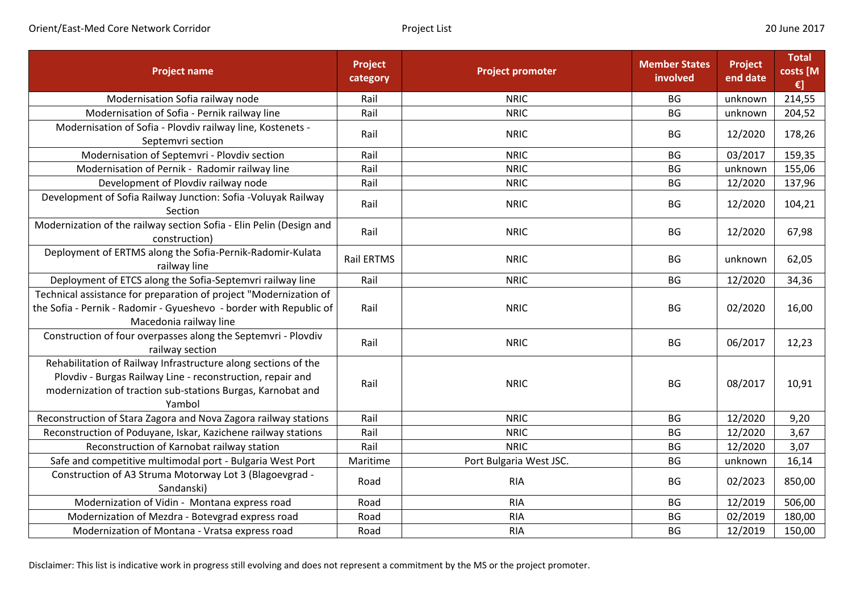| <b>Project name</b>                                                                                                                                                                                   | <b>Project</b><br>category | <b>Project promoter</b> | <b>Member States</b><br>involved | <b>Project</b><br>end date | <b>Total</b><br>costs [M<br>€] |
|-------------------------------------------------------------------------------------------------------------------------------------------------------------------------------------------------------|----------------------------|-------------------------|----------------------------------|----------------------------|--------------------------------|
| Modernisation Sofia railway node                                                                                                                                                                      | Rail                       | <b>NRIC</b>             | BG                               | unknown                    | 214,55                         |
| Modernisation of Sofia - Pernik railway line                                                                                                                                                          | Rail                       | <b>NRIC</b>             | <b>BG</b>                        | unknown                    | 204,52                         |
| Modernisation of Sofia - Plovdiv railway line, Kostenets -<br>Septemvri section                                                                                                                       | Rail                       | <b>NRIC</b>             | BG                               | 12/2020                    | 178,26                         |
| Modernisation of Septemvri - Plovdiv section                                                                                                                                                          | Rail                       | <b>NRIC</b>             | BG                               | 03/2017                    | 159,35                         |
| Modernisation of Pernik - Radomir railway line                                                                                                                                                        | Rail                       | <b>NRIC</b>             | BG                               | unknown                    | 155,06                         |
| Development of Plovdiv railway node                                                                                                                                                                   | Rail                       | <b>NRIC</b>             | BG                               | 12/2020                    | 137,96                         |
| Development of Sofia Railway Junction: Sofia - Voluyak Railway<br>Section                                                                                                                             | Rail                       | <b>NRIC</b>             | BG                               | 12/2020                    | 104,21                         |
| Modernization of the railway section Sofia - Elin Pelin (Design and<br>construction)                                                                                                                  | Rail                       | <b>NRIC</b>             | <b>BG</b>                        | 12/2020                    | 67,98                          |
| Deployment of ERTMS along the Sofia-Pernik-Radomir-Kulata<br>railway line                                                                                                                             | <b>Rail ERTMS</b>          | <b>NRIC</b>             | <b>BG</b>                        | unknown                    | 62,05                          |
| Deployment of ETCS along the Sofia-Septemvri railway line                                                                                                                                             | Rail                       | <b>NRIC</b>             | BG                               | 12/2020                    | 34,36                          |
| Technical assistance for preparation of project "Modernization of<br>the Sofia - Pernik - Radomir - Gyueshevo - border with Republic of<br>Macedonia railway line                                     | Rail                       | <b>NRIC</b>             | <b>BG</b>                        | 02/2020                    | 16,00                          |
| Construction of four overpasses along the Septemvri - Plovdiv<br>railway section                                                                                                                      | Rail                       | <b>NRIC</b>             | <b>BG</b>                        | 06/2017                    | 12,23                          |
| Rehabilitation of Railway Infrastructure along sections of the<br>Plovdiv - Burgas Railway Line - reconstruction, repair and<br>modernization of traction sub-stations Burgas, Karnobat and<br>Yambol | Rail                       | <b>NRIC</b>             | <b>BG</b>                        | 08/2017                    | 10,91                          |
| Reconstruction of Stara Zagora and Nova Zagora railway stations                                                                                                                                       | Rail                       | <b>NRIC</b>             | BG                               | 12/2020                    | 9,20                           |
| Reconstruction of Poduyane, Iskar, Kazichene railway stations                                                                                                                                         | Rail                       | <b>NRIC</b>             | BG                               | 12/2020                    | 3,67                           |
| Reconstruction of Karnobat railway station                                                                                                                                                            | Rail                       | <b>NRIC</b>             | BG                               | 12/2020                    | 3,07                           |
| Safe and competitive multimodal port - Bulgaria West Port                                                                                                                                             | Maritime                   | Port Bulgaria West JSC. | <b>BG</b>                        | unknown                    | 16,14                          |
| Construction of A3 Struma Motorway Lot 3 (Blagoevgrad -<br>Sandanski)                                                                                                                                 | Road                       | <b>RIA</b>              | BG                               | 02/2023                    | 850,00                         |
| Modernization of Vidin - Montana express road                                                                                                                                                         | Road                       | <b>RIA</b>              | BG                               | 12/2019                    | 506,00                         |
| Modernization of Mezdra - Botevgrad express road                                                                                                                                                      | Road                       | <b>RIA</b>              | BG                               | 02/2019                    | 180,00                         |
| Modernization of Montana - Vratsa express road                                                                                                                                                        | Road                       | <b>RIA</b>              | <b>BG</b>                        | 12/2019                    | 150,00                         |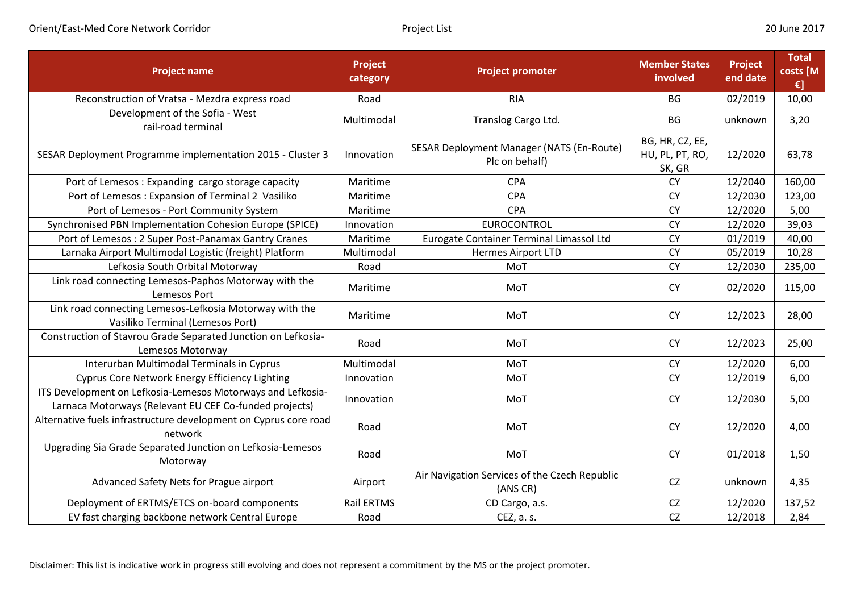| <b>Project name</b>                                                                                                   | Project<br>category | <b>Project promoter</b>                                     | <b>Member States</b><br>involved             | Project<br>end date | <b>Total</b><br>costs [M<br>€] |
|-----------------------------------------------------------------------------------------------------------------------|---------------------|-------------------------------------------------------------|----------------------------------------------|---------------------|--------------------------------|
| Reconstruction of Vratsa - Mezdra express road                                                                        | Road                | <b>RIA</b>                                                  | <b>BG</b>                                    | 02/2019             | 10,00                          |
| Development of the Sofia - West<br>rail-road terminal                                                                 | Multimodal          | Translog Cargo Ltd.                                         | <b>BG</b>                                    | unknown             | 3,20                           |
| SESAR Deployment Programme implementation 2015 - Cluster 3                                                            | Innovation          | SESAR Deployment Manager (NATS (En-Route)<br>Plc on behalf) | BG, HR, CZ, EE,<br>HU, PL, PT, RO,<br>SK, GR | 12/2020             | 63,78                          |
| Port of Lemesos: Expanding cargo storage capacity                                                                     | Maritime            | <b>CPA</b>                                                  | <b>CY</b>                                    | 12/2040             | 160,00                         |
| Port of Lemesos: Expansion of Terminal 2 Vasiliko                                                                     | Maritime            | <b>CPA</b>                                                  | <b>CY</b>                                    | 12/2030             | 123,00                         |
| Port of Lemesos - Port Community System                                                                               | Maritime            | CPA                                                         | <b>CY</b>                                    | 12/2020             | 5,00                           |
| Synchronised PBN Implementation Cohesion Europe (SPICE)                                                               | Innovation          | <b>EUROCONTROL</b>                                          | <b>CY</b>                                    | 12/2020             | 39,03                          |
| Port of Lemesos: 2 Super Post-Panamax Gantry Cranes                                                                   | Maritime            | Eurogate Container Terminal Limassol Ltd                    | <b>CY</b>                                    | 01/2019             | 40,00                          |
| Larnaka Airport Multimodal Logistic (freight) Platform                                                                | Multimodal          | <b>Hermes Airport LTD</b>                                   | <b>CY</b>                                    | 05/2019             | 10,28                          |
| Lefkosia South Orbital Motorway                                                                                       | Road                | MoT                                                         | <b>CY</b>                                    | 12/2030             | 235,00                         |
| Link road connecting Lemesos-Paphos Motorway with the<br>Lemesos Port                                                 | Maritime            | MoT                                                         | <b>CY</b>                                    | 02/2020             | 115,00                         |
| Link road connecting Lemesos-Lefkosia Motorway with the<br>Vasiliko Terminal (Lemesos Port)                           | Maritime            | MoT                                                         | <b>CY</b>                                    | 12/2023             | 28,00                          |
| Construction of Stavrou Grade Separated Junction on Lefkosia-<br>Lemesos Motorway                                     | Road                | MoT                                                         | <b>CY</b>                                    | 12/2023             | 25,00                          |
| Interurban Multimodal Terminals in Cyprus                                                                             | Multimodal          | MoT                                                         | <b>CY</b>                                    | 12/2020             | 6,00                           |
| <b>Cyprus Core Network Energy Efficiency Lighting</b>                                                                 | Innovation          | MoT                                                         | <b>CY</b>                                    | 12/2019             | 6,00                           |
| ITS Development on Lefkosia-Lemesos Motorways and Lefkosia-<br>Larnaca Motorways (Relevant EU CEF Co-funded projects) | Innovation          | MoT                                                         | <b>CY</b>                                    | 12/2030             | 5,00                           |
| Alternative fuels infrastructure development on Cyprus core road<br>network                                           | Road                | MoT                                                         | <b>CY</b>                                    | 12/2020             | 4,00                           |
| Upgrading Sia Grade Separated Junction on Lefkosia-Lemesos<br>Motorway                                                | Road                | MoT                                                         | <b>CY</b>                                    | 01/2018             | 1,50                           |
| Advanced Safety Nets for Prague airport                                                                               | Airport             | Air Navigation Services of the Czech Republic<br>(ANS CR)   | <b>CZ</b>                                    | unknown             | 4,35                           |
| Deployment of ERTMS/ETCS on-board components                                                                          | Rail ERTMS          | CD Cargo, a.s.                                              | CZ                                           | 12/2020             | 137,52                         |
| EV fast charging backbone network Central Europe                                                                      | Road                | CEZ, a. s.                                                  | CZ                                           | 12/2018             | 2,84                           |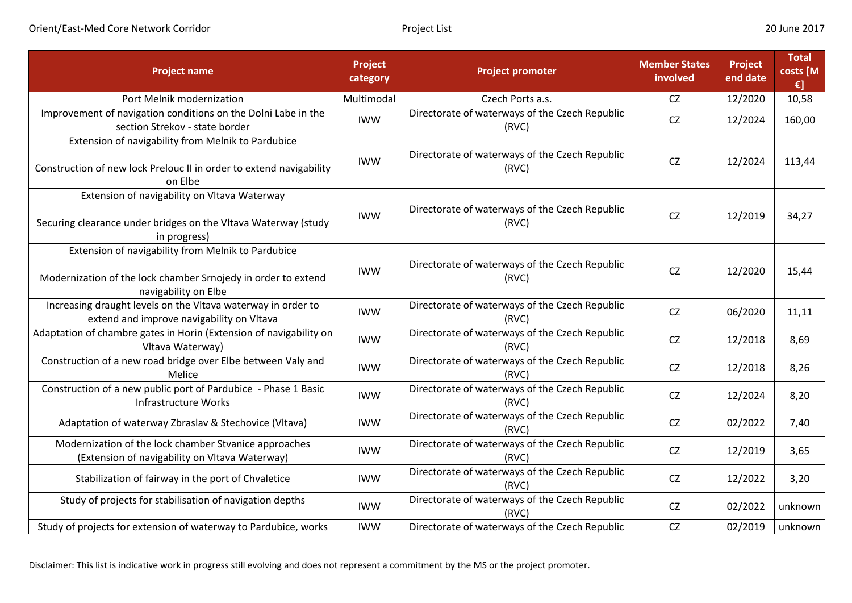| <b>Project name</b>                                                                                                                         | <b>Project</b><br>category | <b>Project promoter</b>                                 | <b>Member States</b><br>involved | Project<br>end date | <b>Total</b><br>costs [M<br>€] |
|---------------------------------------------------------------------------------------------------------------------------------------------|----------------------------|---------------------------------------------------------|----------------------------------|---------------------|--------------------------------|
| Port Melnik modernization                                                                                                                   | Multimodal                 | Czech Ports a.s.                                        | CZ                               | 12/2020             | 10,58                          |
| Improvement of navigation conditions on the Dolni Labe in the<br>section Strekov - state border                                             | <b>IWW</b>                 | Directorate of waterways of the Czech Republic<br>(RVC) | <b>CZ</b>                        | 12/2024             | 160,00                         |
| Extension of navigability from Melnik to Pardubice<br>Construction of new lock Prelouc II in order to extend navigability<br>on Elbe        | <b>IWW</b>                 | Directorate of waterways of the Czech Republic<br>(RVC) | <b>CZ</b>                        | 12/2024             | 113,44                         |
| Extension of navigability on Vltava Waterway<br>Securing clearance under bridges on the Vltava Waterway (study<br>in progress)              | <b>IWW</b>                 | Directorate of waterways of the Czech Republic<br>(RVC) | <b>CZ</b>                        | 12/2019             | 34,27                          |
| Extension of navigability from Melnik to Pardubice<br>Modernization of the lock chamber Srnojedy in order to extend<br>navigability on Elbe | <b>IWW</b>                 | Directorate of waterways of the Czech Republic<br>(RVC) | <b>CZ</b>                        | 12/2020             | 15,44                          |
| Increasing draught levels on the Vltava waterway in order to<br>extend and improve navigability on Vltava                                   | <b>IWW</b>                 | Directorate of waterways of the Czech Republic<br>(RVC) | CZ                               | 06/2020             | 11,11                          |
| Adaptation of chambre gates in Horin (Extension of navigability on<br>Vltava Waterway)                                                      | <b>IWW</b>                 | Directorate of waterways of the Czech Republic<br>(RVC) | CZ                               | 12/2018             | 8,69                           |
| Construction of a new road bridge over Elbe between Valy and<br>Melice                                                                      | <b>IWW</b>                 | Directorate of waterways of the Czech Republic<br>(RVC) | CZ                               | 12/2018             | 8,26                           |
| Construction of a new public port of Pardubice - Phase 1 Basic<br>Infrastructure Works                                                      | <b>IWW</b>                 | Directorate of waterways of the Czech Republic<br>(RVC) | CZ                               | 12/2024             | 8,20                           |
| Adaptation of waterway Zbraslav & Stechovice (Vltava)                                                                                       | <b>IWW</b>                 | Directorate of waterways of the Czech Republic<br>(RVC) | CZ                               | 02/2022             | 7,40                           |
| Modernization of the lock chamber Stvanice approaches<br>(Extension of navigability on Vltava Waterway)                                     | <b>IWW</b>                 | Directorate of waterways of the Czech Republic<br>(RVC) | CZ                               | 12/2019             | 3,65                           |
| Stabilization of fairway in the port of Chvaletice                                                                                          | <b>IWW</b>                 | Directorate of waterways of the Czech Republic<br>(RVC) | CZ                               | 12/2022             | 3,20                           |
| Study of projects for stabilisation of navigation depths                                                                                    | <b>IWW</b>                 | Directorate of waterways of the Czech Republic<br>(RVC) | CZ                               | 02/2022             | unknown                        |
| Study of projects for extension of waterway to Pardubice, works                                                                             | <b>IWW</b>                 | Directorate of waterways of the Czech Republic          | CZ                               | 02/2019             | unknown                        |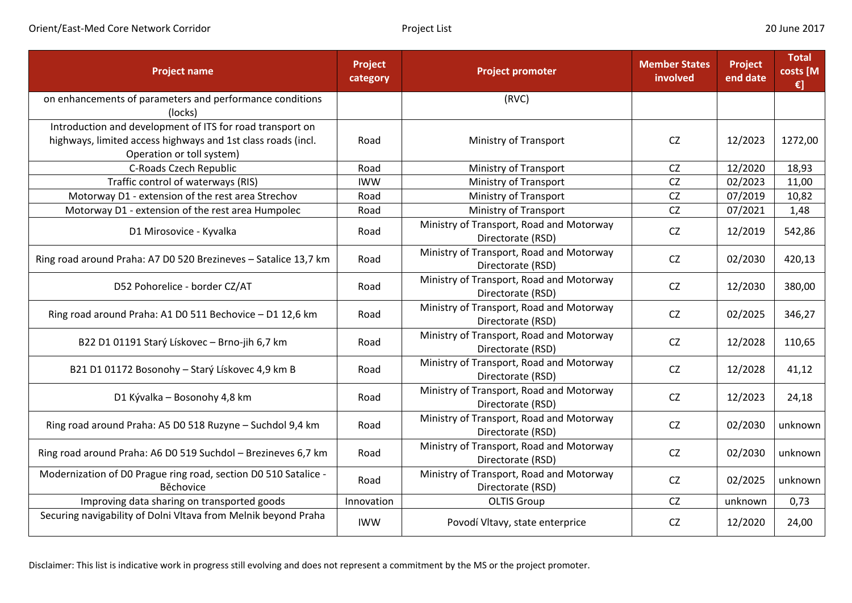| <b>Project name</b>                                                                                                                                    | Project<br>category | <b>Project promoter</b>                                       | <b>Member States</b><br>involved | Project<br>end date | <b>Total</b><br>costs [M<br>€] |
|--------------------------------------------------------------------------------------------------------------------------------------------------------|---------------------|---------------------------------------------------------------|----------------------------------|---------------------|--------------------------------|
| on enhancements of parameters and performance conditions<br>(locks)                                                                                    |                     | (RVC)                                                         |                                  |                     |                                |
| Introduction and development of ITS for road transport on<br>highways, limited access highways and 1st class roads (incl.<br>Operation or toll system) | Road                | Ministry of Transport                                         | <b>CZ</b>                        | 12/2023             | 1272,00                        |
| C-Roads Czech Republic                                                                                                                                 | Road                | Ministry of Transport                                         | <b>CZ</b>                        | 12/2020             | 18,93                          |
| Traffic control of waterways (RIS)                                                                                                                     | <b>IWW</b>          | Ministry of Transport                                         | CZ                               | 02/2023             | 11,00                          |
| Motorway D1 - extension of the rest area Strechov                                                                                                      | Road                | Ministry of Transport                                         | CZ                               | 07/2019             | 10,82                          |
| Motorway D1 - extension of the rest area Humpolec                                                                                                      | Road                | Ministry of Transport                                         | <b>CZ</b>                        | 07/2021             | 1,48                           |
| D1 Mirosovice - Kyvalka                                                                                                                                | Road                | Ministry of Transport, Road and Motorway<br>Directorate (RSD) | CZ                               | 12/2019             | 542,86                         |
| Ring road around Praha: A7 D0 520 Brezineves - Satalice 13,7 km                                                                                        | Road                | Ministry of Transport, Road and Motorway<br>Directorate (RSD) | <b>CZ</b>                        | 02/2030             | 420,13                         |
| D52 Pohorelice - border CZ/AT                                                                                                                          | Road                | Ministry of Transport, Road and Motorway<br>Directorate (RSD) | <b>CZ</b>                        | 12/2030             | 380,00                         |
| Ring road around Praha: A1 D0 511 Bechovice - D1 12,6 km                                                                                               | Road                | Ministry of Transport, Road and Motorway<br>Directorate (RSD) | <b>CZ</b>                        | 02/2025             | 346,27                         |
| B22 D1 01191 Starý Lískovec - Brno-jih 6,7 km                                                                                                          | Road                | Ministry of Transport, Road and Motorway<br>Directorate (RSD) | CZ                               | 12/2028             | 110,65                         |
| B21 D1 01172 Bosonohy - Starý Lískovec 4,9 km B                                                                                                        | Road                | Ministry of Transport, Road and Motorway<br>Directorate (RSD) | <b>CZ</b>                        | 12/2028             | 41,12                          |
| D1 Kývalka – Bosonohy 4,8 km                                                                                                                           | Road                | Ministry of Transport, Road and Motorway<br>Directorate (RSD) | <b>CZ</b>                        | 12/2023             | 24,18                          |
| Ring road around Praha: A5 D0 518 Ruzyne - Suchdol 9,4 km                                                                                              | Road                | Ministry of Transport, Road and Motorway<br>Directorate (RSD) | <b>CZ</b>                        | 02/2030             | unknown                        |
| Ring road around Praha: A6 D0 519 Suchdol - Brezineves 6,7 km                                                                                          | Road                | Ministry of Transport, Road and Motorway<br>Directorate (RSD) | <b>CZ</b>                        | 02/2030             | unknown                        |
| Modernization of D0 Prague ring road, section D0 510 Satalice -<br>Běchovice                                                                           | Road                | Ministry of Transport, Road and Motorway<br>Directorate (RSD) | <b>CZ</b>                        | 02/2025             | unknown                        |
| Improving data sharing on transported goods                                                                                                            | Innovation          | <b>OLTIS Group</b>                                            | <b>CZ</b>                        | unknown             | 0,73                           |
| Securing navigability of Dolni Vltava from Melnik beyond Praha                                                                                         | <b>IWW</b>          | Povodí Vltavy, state enterprice                               | <b>CZ</b>                        | 12/2020             | 24,00                          |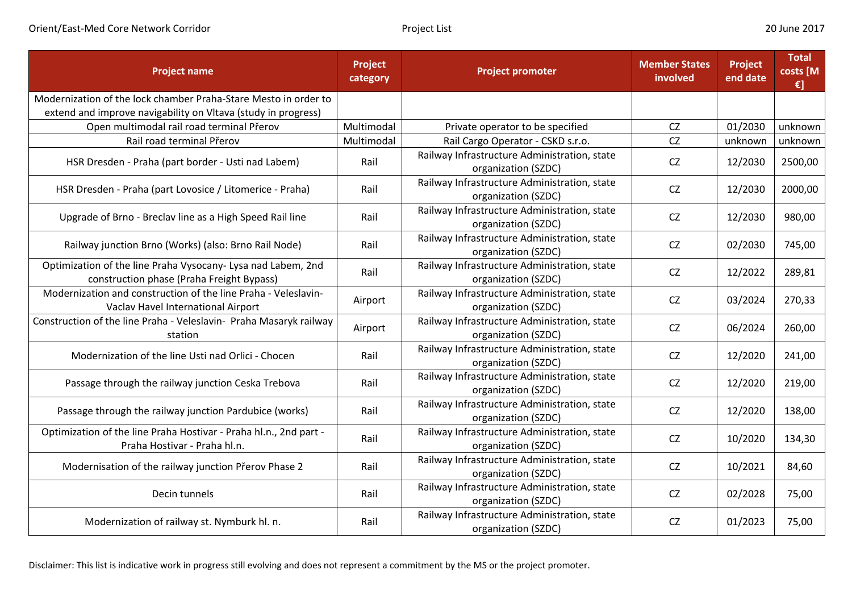| <b>Project name</b>                                                                                                              | Project<br>category | <b>Project promoter</b>                                             | <b>Member States</b><br>involved | Project<br>end date | <b>Total</b><br>costs [M<br>$\epsilon$ ] |
|----------------------------------------------------------------------------------------------------------------------------------|---------------------|---------------------------------------------------------------------|----------------------------------|---------------------|------------------------------------------|
| Modernization of the lock chamber Praha-Stare Mesto in order to<br>extend and improve navigability on Vltava (study in progress) |                     |                                                                     |                                  |                     |                                          |
| Open multimodal rail road terminal Přerov                                                                                        | Multimodal          | Private operator to be specified                                    | <b>CZ</b>                        | 01/2030             | unknown                                  |
| Rail road terminal Přerov                                                                                                        | Multimodal          | Rail Cargo Operator - CSKD s.r.o.                                   | <b>CZ</b>                        | unknown             | unknown                                  |
| HSR Dresden - Praha (part border - Usti nad Labem)                                                                               | Rail                | Railway Infrastructure Administration, state<br>organization (SZDC) | <b>CZ</b>                        | 12/2030             | 2500,00                                  |
| HSR Dresden - Praha (part Lovosice / Litomerice - Praha)                                                                         | Rail                | Railway Infrastructure Administration, state<br>organization (SZDC) | <b>CZ</b>                        | 12/2030             | 2000,00                                  |
| Upgrade of Brno - Breclav line as a High Speed Rail line                                                                         | Rail                | Railway Infrastructure Administration, state<br>organization (SZDC) | <b>CZ</b>                        | 12/2030             | 980,00                                   |
| Railway junction Brno (Works) (also: Brno Rail Node)                                                                             | Rail                | Railway Infrastructure Administration, state<br>organization (SZDC) | <b>CZ</b>                        | 02/2030             | 745,00                                   |
| Optimization of the line Praha Vysocany- Lysa nad Labem, 2nd<br>construction phase (Praha Freight Bypass)                        | Rail                | Railway Infrastructure Administration, state<br>organization (SZDC) | <b>CZ</b>                        | 12/2022             | 289,81                                   |
| Modernization and construction of the line Praha - Veleslavin-<br>Vaclav Havel International Airport                             | Airport             | Railway Infrastructure Administration, state<br>organization (SZDC) | <b>CZ</b>                        | 03/2024             | 270,33                                   |
| Construction of the line Praha - Veleslavin- Praha Masaryk railway<br>station                                                    | Airport             | Railway Infrastructure Administration, state<br>organization (SZDC) | <b>CZ</b>                        | 06/2024             | 260,00                                   |
| Modernization of the line Usti nad Orlici - Chocen                                                                               | Rail                | Railway Infrastructure Administration, state<br>organization (SZDC) | <b>CZ</b>                        | 12/2020             | 241,00                                   |
| Passage through the railway junction Ceska Trebova                                                                               | Rail                | Railway Infrastructure Administration, state<br>organization (SZDC) | <b>CZ</b>                        | 12/2020             | 219,00                                   |
| Passage through the railway junction Pardubice (works)                                                                           | Rail                | Railway Infrastructure Administration, state<br>organization (SZDC) | <b>CZ</b>                        | 12/2020             | 138,00                                   |
| Optimization of the line Praha Hostivar - Praha hl.n., 2nd part -<br>Praha Hostivar - Praha hl.n.                                | Rail                | Railway Infrastructure Administration, state<br>organization (SZDC) | <b>CZ</b>                        | 10/2020             | 134,30                                   |
| Modernisation of the railway junction Přerov Phase 2                                                                             | Rail                | Railway Infrastructure Administration, state<br>organization (SZDC) | <b>CZ</b>                        | 10/2021             | 84,60                                    |
| Decin tunnels                                                                                                                    | Rail                | Railway Infrastructure Administration, state<br>organization (SZDC) | CZ                               | 02/2028             | 75,00                                    |
| Modernization of railway st. Nymburk hl. n.                                                                                      | Rail                | Railway Infrastructure Administration, state<br>organization (SZDC) | <b>CZ</b>                        | 01/2023             | 75,00                                    |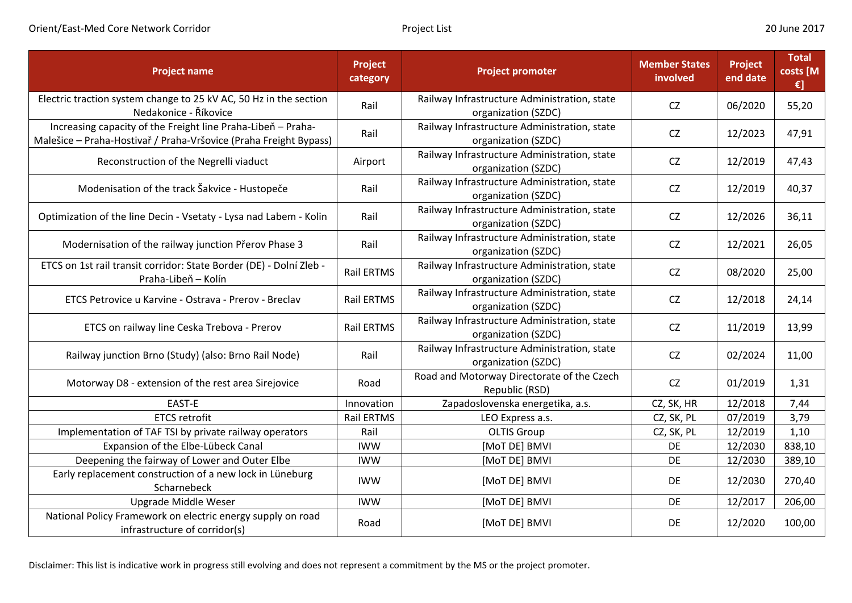| <b>Project name</b>                                                                                                               | Project<br>category | <b>Project promoter</b>                                             | <b>Member States</b><br>involved | Project<br>end date | <b>Total</b><br>costs [M<br>€] |
|-----------------------------------------------------------------------------------------------------------------------------------|---------------------|---------------------------------------------------------------------|----------------------------------|---------------------|--------------------------------|
| Electric traction system change to 25 kV AC, 50 Hz in the section<br>Nedakonice - Říkovice                                        | Rail                | Railway Infrastructure Administration, state<br>organization (SZDC) | <b>CZ</b>                        | 06/2020             | 55,20                          |
| Increasing capacity of the Freight line Praha-Libeň - Praha-<br>Malešice - Praha-Hostivař / Praha-Vršovice (Praha Freight Bypass) | Rail                | Railway Infrastructure Administration, state<br>organization (SZDC) | CZ                               | 12/2023             | 47,91                          |
| Reconstruction of the Negrelli viaduct                                                                                            | Airport             | Railway Infrastructure Administration, state<br>organization (SZDC) | <b>CZ</b>                        | 12/2019             | 47,43                          |
| Modenisation of the track Šakvice - Hustopeče                                                                                     | Rail                | Railway Infrastructure Administration, state<br>organization (SZDC) | CZ                               | 12/2019             | 40,37                          |
| Optimization of the line Decin - Vsetaty - Lysa nad Labem - Kolin                                                                 | Rail                | Railway Infrastructure Administration, state<br>organization (SZDC) | CZ                               | 12/2026             | 36,11                          |
| Modernisation of the railway junction Přerov Phase 3                                                                              | Rail                | Railway Infrastructure Administration, state<br>organization (SZDC) | CZ                               | 12/2021             | 26,05                          |
| ETCS on 1st rail transit corridor: State Border (DE) - Dolní Zleb -<br>Praha-Libeň – Kolín                                        | Rail ERTMS          | Railway Infrastructure Administration, state<br>organization (SZDC) | <b>CZ</b>                        | 08/2020             | 25,00                          |
| ETCS Petrovice u Karvine - Ostrava - Prerov - Breclav                                                                             | <b>Rail ERTMS</b>   | Railway Infrastructure Administration, state<br>organization (SZDC) | CZ                               | 12/2018             | 24,14                          |
| ETCS on railway line Ceska Trebova - Prerov                                                                                       | <b>Rail ERTMS</b>   | Railway Infrastructure Administration, state<br>organization (SZDC) | CZ                               | 11/2019             | 13,99                          |
| Railway junction Brno (Study) (also: Brno Rail Node)                                                                              | Rail                | Railway Infrastructure Administration, state<br>organization (SZDC) | <b>CZ</b>                        | 02/2024             | 11,00                          |
| Motorway D8 - extension of the rest area Sirejovice                                                                               | Road                | Road and Motorway Directorate of the Czech<br>Republic (RSD)        | CZ                               | 01/2019             | 1,31                           |
| EAST-E                                                                                                                            | Innovation          | Zapadoslovenska energetika, a.s.                                    | CZ, SK, HR                       | 12/2018             | 7,44                           |
| <b>ETCS retrofit</b>                                                                                                              | Rail ERTMS          | LEO Express a.s.                                                    | CZ, SK, PL                       | 07/2019             | 3,79                           |
| Implementation of TAF TSI by private railway operators                                                                            | Rail                | <b>OLTIS Group</b>                                                  | CZ, SK, PL                       | 12/2019             | 1,10                           |
| Expansion of the Elbe-Lübeck Canal                                                                                                | <b>IWW</b>          | [MoT DE] BMVI                                                       | DE                               | 12/2030             | 838,10                         |
| Deepening the fairway of Lower and Outer Elbe                                                                                     | <b>IWW</b>          | [MoT DE] BMVI                                                       | DE                               | 12/2030             | 389,10                         |
| Early replacement construction of a new lock in Lüneburg<br>Scharnebeck                                                           | <b>IWW</b>          | [MoT DE] BMVI                                                       | DE                               | 12/2030             | 270,40                         |
| Upgrade Middle Weser                                                                                                              | <b>IWW</b>          | [MoT DE] BMVI                                                       | <b>DE</b>                        | 12/2017             | 206,00                         |
| National Policy Framework on electric energy supply on road<br>infrastructure of corridor(s)                                      | Road                | [MoT DE] BMVI                                                       | DE                               | 12/2020             | 100,00                         |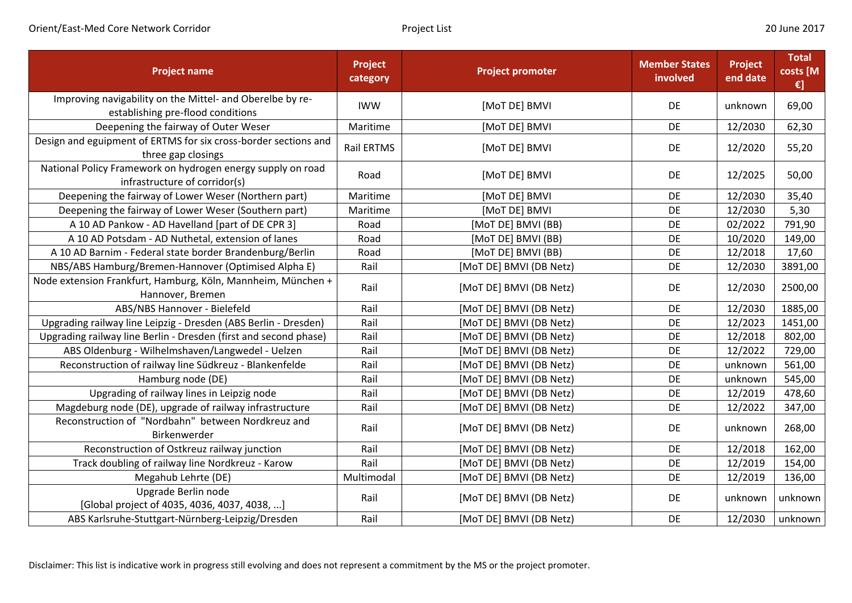| <b>Project name</b>                                                                            | <b>Project</b><br>category | <b>Project promoter</b> | <b>Member States</b><br>involved | Project<br>end date | <b>Total</b><br>costs [M<br>€] |
|------------------------------------------------------------------------------------------------|----------------------------|-------------------------|----------------------------------|---------------------|--------------------------------|
| Improving navigability on the Mittel- and Oberelbe by re-<br>establishing pre-flood conditions | <b>IWW</b>                 | [MoT DE] BMVI           | DE                               | unknown             | 69,00                          |
| Deepening the fairway of Outer Weser                                                           | Maritime                   | [MoT DE] BMVI           | DE                               | 12/2030             | 62,30                          |
| Design and eguipment of ERTMS for six cross-border sections and<br>three gap closings          | <b>Rail ERTMS</b>          | [MoT DE] BMVI           | DE                               | 12/2020             | 55,20                          |
| National Policy Framework on hydrogen energy supply on road<br>infrastructure of corridor(s)   | Road                       | [MoT DE] BMVI           | DE                               | 12/2025             | 50,00                          |
| Deepening the fairway of Lower Weser (Northern part)                                           | Maritime                   | [MoT DE] BMVI           | DE                               | 12/2030             | 35,40                          |
| Deepening the fairway of Lower Weser (Southern part)                                           | Maritime                   | [MoT DE] BMVI           | DE                               | 12/2030             | 5,30                           |
| A 10 AD Pankow - AD Havelland [part of DE CPR 3]                                               | Road                       | [MoT DE] BMVI (BB)      | DE                               | 02/2022             | 791,90                         |
| A 10 AD Potsdam - AD Nuthetal, extension of lanes                                              | Road                       | [MoT DE] BMVI (BB)      | DE                               | 10/2020             | 149,00                         |
| A 10 AD Barnim - Federal state border Brandenburg/Berlin                                       | Road                       | [MoT DE] BMVI (BB)      | DE                               | 12/2018             | 17,60                          |
| NBS/ABS Hamburg/Bremen-Hannover (Optimised Alpha E)                                            | Rail                       | [MoT DE] BMVI (DB Netz) | DE                               | 12/2030             | 3891,00                        |
| Node extension Frankfurt, Hamburg, Köln, Mannheim, München +<br>Hannover, Bremen               | Rail                       | [MoT DE] BMVI (DB Netz) | DE                               | 12/2030             | 2500,00                        |
| ABS/NBS Hannover - Bielefeld                                                                   | Rail                       | [MoT DE] BMVI (DB Netz) | DE                               | 12/2030             | 1885,00                        |
| Upgrading railway line Leipzig - Dresden (ABS Berlin - Dresden)                                | Rail                       | [MoT DE] BMVI (DB Netz) | DE                               | 12/2023             | 1451,00                        |
| Upgrading railway line Berlin - Dresden (first and second phase)                               | Rail                       | [MoT DE] BMVI (DB Netz) | DE                               | 12/2018             | 802,00                         |
| ABS Oldenburg - Wilhelmshaven/Langwedel - Uelzen                                               | Rail                       | [MoT DE] BMVI (DB Netz) | DE                               | 12/2022             | 729,00                         |
| Reconstruction of railway line Südkreuz - Blankenfelde                                         | Rail                       | [MoT DE] BMVI (DB Netz) | DE                               | unknown             | 561,00                         |
| Hamburg node (DE)                                                                              | Rail                       | [MoT DE] BMVI (DB Netz) | DE                               | unknown             | 545,00                         |
| Upgrading of railway lines in Leipzig node                                                     | Rail                       | [MoT DE] BMVI (DB Netz) | DE                               | 12/2019             | 478,60                         |
| Magdeburg node (DE), upgrade of railway infrastructure                                         | Rail                       | [MoT DE] BMVI (DB Netz) | DE                               | 12/2022             | 347,00                         |
| Reconstruction of "Nordbahn" between Nordkreuz and<br>Birkenwerder                             | Rail                       | [MoT DE] BMVI (DB Netz) | DE                               | unknown             | 268,00                         |
| Reconstruction of Ostkreuz railway junction                                                    | Rail                       | [MoT DE] BMVI (DB Netz) | DE                               | 12/2018             | 162,00                         |
| Track doubling of railway line Nordkreuz - Karow                                               | Rail                       | [MoT DE] BMVI (DB Netz) | DE                               | 12/2019             | 154,00                         |
| Megahub Lehrte (DE)                                                                            | Multimodal                 | [MoT DE] BMVI (DB Netz) | DE                               | 12/2019             | 136,00                         |
| Upgrade Berlin node<br>[Global project of 4035, 4036, 4037, 4038, ]                            | Rail                       | [MoT DE] BMVI (DB Netz) | DE                               | unknown             | unknown                        |
| ABS Karlsruhe-Stuttgart-Nürnberg-Leipzig/Dresden                                               | Rail                       | [MoT DE] BMVI (DB Netz) | DE                               | 12/2030             | unknown                        |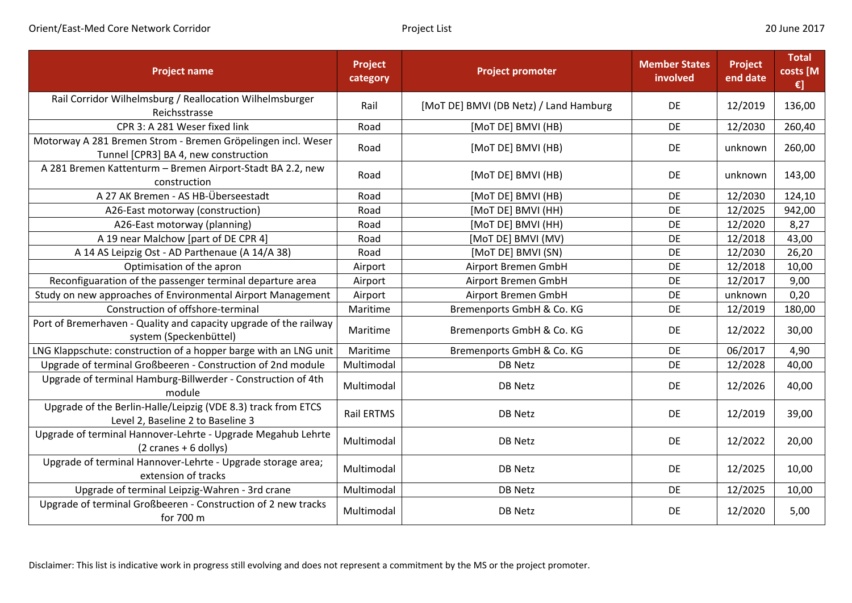| <b>Project name</b>                                                                                      | Project<br>category | <b>Project promoter</b>                | <b>Member States</b><br>involved | Project<br>end date | <b>Total</b><br>costs [M<br>$\epsilon$ ] |
|----------------------------------------------------------------------------------------------------------|---------------------|----------------------------------------|----------------------------------|---------------------|------------------------------------------|
| Rail Corridor Wilhelmsburg / Reallocation Wilhelmsburger<br>Reichsstrasse                                | Rail                | [MoT DE] BMVI (DB Netz) / Land Hamburg | <b>DE</b>                        | 12/2019             | 136,00                                   |
| CPR 3: A 281 Weser fixed link                                                                            | Road                | [MoT DE] BMVI (HB)                     | <b>DE</b>                        | 12/2030             | 260,40                                   |
| Motorway A 281 Bremen Strom - Bremen Gröpelingen incl. Weser<br>Tunnel [CPR3] BA 4, new construction     | Road                | [MoT DE] BMVI (HB)                     | DE                               | unknown             | 260,00                                   |
| A 281 Bremen Kattenturm - Bremen Airport-Stadt BA 2.2, new<br>construction                               | Road                | [MoT DE] BMVI (HB)                     | DE                               | unknown             | 143,00                                   |
| A 27 AK Bremen - AS HB-Überseestadt                                                                      | Road                | [MoT DE] BMVI (HB)                     | DE                               | 12/2030             | 124,10                                   |
| A26-East motorway (construction)                                                                         | Road                | [MoT DE] BMVI (HH)                     | DE                               | 12/2025             | 942,00                                   |
| A26-East motorway (planning)                                                                             | Road                | [MoT DE] BMVI (HH)                     | DE                               | 12/2020             | 8,27                                     |
| A 19 near Malchow [part of DE CPR 4]                                                                     | Road                | [MoT DE] BMVI (MV)                     | DE                               | 12/2018             | 43,00                                    |
| A 14 AS Leipzig Ost - AD Parthenaue (A 14/A 38)                                                          | Road                | [MoT DE] BMVI (SN)                     | DE                               | 12/2030             | 26,20                                    |
| Optimisation of the apron                                                                                | Airport             | Airport Bremen GmbH                    | DE                               | 12/2018             | 10,00                                    |
| Reconfiguaration of the passenger terminal departure area                                                | Airport             | Airport Bremen GmbH                    | DE                               | 12/2017             | 9,00                                     |
| Study on new approaches of Environmental Airport Management                                              | Airport             | Airport Bremen GmbH                    | <b>DE</b>                        | unknown             | 0,20                                     |
| Construction of offshore-terminal                                                                        | Maritime            | Bremenports GmbH & Co. KG              | DE                               | 12/2019             | 180,00                                   |
| Port of Bremerhaven - Quality and capacity upgrade of the railway<br>system (Speckenbüttel)              | Maritime            | Bremenports GmbH & Co. KG              | DE                               | 12/2022             | 30,00                                    |
| LNG Klappschute: construction of a hopper barge with an LNG unit                                         | Maritime            | Bremenports GmbH & Co. KG              | <b>DE</b>                        | 06/2017             | 4,90                                     |
| Upgrade of terminal Großbeeren - Construction of 2nd module                                              | Multimodal          | <b>DB Netz</b>                         | DE                               | 12/2028             | 40,00                                    |
| Upgrade of terminal Hamburg-Billwerder - Construction of 4th<br>module                                   | Multimodal          | DB Netz                                | DE                               | 12/2026             | 40,00                                    |
| Upgrade of the Berlin-Halle/Leipzig (VDE 8.3) track from ETCS<br>Level 2, Baseline 2 to Baseline 3       | Rail ERTMS          | DB Netz                                | <b>DE</b>                        | 12/2019             | 39,00                                    |
| Upgrade of terminal Hannover-Lehrte - Upgrade Megahub Lehrte<br>$(2 \text{ cranes} + 6 \text{ dollars})$ | Multimodal          | <b>DB Netz</b>                         | DE                               | 12/2022             | 20,00                                    |
| Upgrade of terminal Hannover-Lehrte - Upgrade storage area;<br>extension of tracks                       | Multimodal          | <b>DB Netz</b>                         | <b>DE</b>                        | 12/2025             | 10,00                                    |
| Upgrade of terminal Leipzig-Wahren - 3rd crane                                                           | Multimodal          | <b>DB Netz</b>                         | <b>DE</b>                        | 12/2025             | 10,00                                    |
| Upgrade of terminal Großbeeren - Construction of 2 new tracks<br>for 700 m                               | Multimodal          | DB Netz                                | <b>DE</b>                        | 12/2020             | 5,00                                     |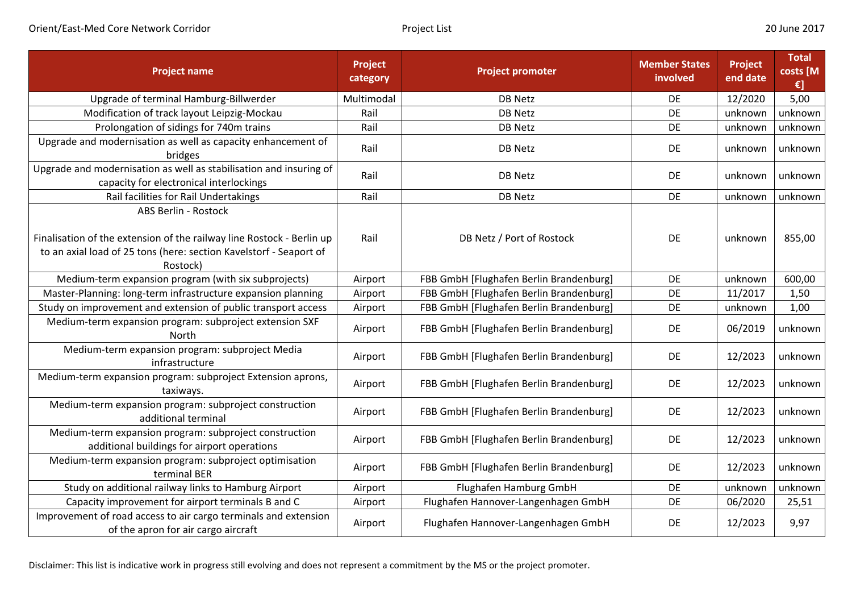| <b>Project name</b>                                                                                                                                                             | <b>Project</b><br>category | <b>Project promoter</b>                 | <b>Member States</b><br>involved | <b>Project</b><br>end date | <b>Total</b><br>costs [M<br>€] |
|---------------------------------------------------------------------------------------------------------------------------------------------------------------------------------|----------------------------|-----------------------------------------|----------------------------------|----------------------------|--------------------------------|
| Upgrade of terminal Hamburg-Billwerder                                                                                                                                          | Multimodal                 | <b>DB Netz</b>                          | <b>DE</b>                        | 12/2020                    | 5,00                           |
| Modification of track layout Leipzig-Mockau                                                                                                                                     | Rail                       | <b>DB Netz</b>                          | DE                               | unknown                    | unknown                        |
| Prolongation of sidings for 740m trains                                                                                                                                         | Rail                       | <b>DB Netz</b>                          | DE                               | unknown                    | unknown                        |
| Upgrade and modernisation as well as capacity enhancement of<br>bridges                                                                                                         | Rail                       | <b>DB Netz</b>                          | DE                               | unknown                    | unknown                        |
| Upgrade and modernisation as well as stabilisation and insuring of<br>capacity for electronical interlockings                                                                   | Rail                       | <b>DB Netz</b>                          | DE                               | unknown                    | unknown                        |
| Rail facilities for Rail Undertakings                                                                                                                                           | Rail                       | <b>DB Netz</b>                          | DE                               | unknown                    | unknown                        |
| ABS Berlin - Rostock<br>Finalisation of the extension of the railway line Rostock - Berlin up<br>to an axial load of 25 tons (here: section Kavelstorf - Seaport of<br>Rostock) | Rail                       | DB Netz / Port of Rostock               | DE                               | unknown                    | 855,00                         |
| Medium-term expansion program (with six subprojects)                                                                                                                            | Airport                    | FBB GmbH [Flughafen Berlin Brandenburg] | DE                               | unknown                    | 600,00                         |
| Master-Planning: long-term infrastructure expansion planning                                                                                                                    | Airport                    | FBB GmbH [Flughafen Berlin Brandenburg] | DE                               | 11/2017                    | 1,50                           |
| Study on improvement and extension of public transport access                                                                                                                   | Airport                    | FBB GmbH [Flughafen Berlin Brandenburg] | DE                               | unknown                    | 1,00                           |
| Medium-term expansion program: subproject extension SXF<br><b>North</b>                                                                                                         | Airport                    | FBB GmbH [Flughafen Berlin Brandenburg] | DE                               | 06/2019                    | unknown                        |
| Medium-term expansion program: subproject Media<br>infrastructure                                                                                                               | Airport                    | FBB GmbH [Flughafen Berlin Brandenburg] | DE                               | 12/2023                    | unknown                        |
| Medium-term expansion program: subproject Extension aprons,<br>taxiways.                                                                                                        | Airport                    | FBB GmbH [Flughafen Berlin Brandenburg] | DE                               | 12/2023                    | unknown                        |
| Medium-term expansion program: subproject construction<br>additional terminal                                                                                                   | Airport                    | FBB GmbH [Flughafen Berlin Brandenburg] | DE                               | 12/2023                    | unknown                        |
| Medium-term expansion program: subproject construction<br>additional buildings for airport operations                                                                           | Airport                    | FBB GmbH [Flughafen Berlin Brandenburg] | DE                               | 12/2023                    | unknown                        |
| Medium-term expansion program: subproject optimisation<br>terminal BER                                                                                                          | Airport                    | FBB GmbH [Flughafen Berlin Brandenburg] | DE                               | 12/2023                    | unknown                        |
| Study on additional railway links to Hamburg Airport                                                                                                                            | Airport                    | Flughafen Hamburg GmbH                  | DE                               | unknown                    | unknown                        |
| Capacity improvement for airport terminals B and C                                                                                                                              | Airport                    | Flughafen Hannover-Langenhagen GmbH     | DE                               | 06/2020                    | 25,51                          |
| Improvement of road access to air cargo terminals and extension<br>of the apron for air cargo aircraft                                                                          | Airport                    | Flughafen Hannover-Langenhagen GmbH     | DE                               | 12/2023                    | 9,97                           |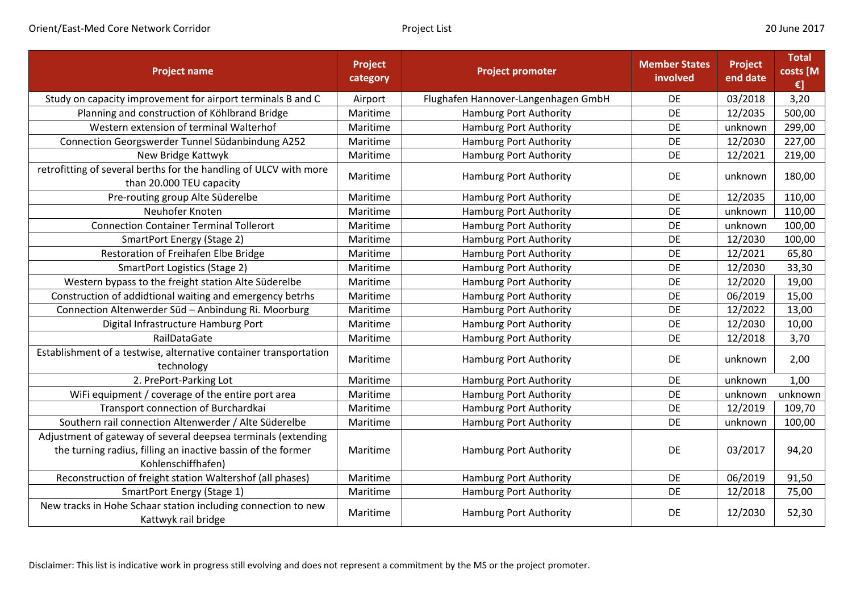| <b>Project name</b>                                                                                                                                 | Project<br>category | <b>Project promoter</b>             | <b>Member States</b><br>involved | Project<br>end date | <b>Total</b><br>costs [M<br>$\epsilon$ ] |
|-----------------------------------------------------------------------------------------------------------------------------------------------------|---------------------|-------------------------------------|----------------------------------|---------------------|------------------------------------------|
| Study on capacity improvement for airport terminals B and C                                                                                         | Airport             | Flughafen Hannover-Langenhagen GmbH | <b>DE</b>                        | 03/2018             | 3,20                                     |
| Planning and construction of Köhlbrand Bridge                                                                                                       | Maritime            | <b>Hamburg Port Authority</b>       | DE                               | 12/2035             | 500,00                                   |
| Western extension of terminal Walterhof                                                                                                             | Maritime            | <b>Hamburg Port Authority</b>       | DE                               | unknown             | 299,00                                   |
| Connection Georgswerder Tunnel Südanbindung A252                                                                                                    | Maritime            | <b>Hamburg Port Authority</b>       | <b>DE</b>                        | 12/2030             | 227,00                                   |
| New Bridge Kattwyk                                                                                                                                  | Maritime            | <b>Hamburg Port Authority</b>       | <b>DE</b>                        | 12/2021             | 219,00                                   |
| retrofitting of several berths for the handling of ULCV with more<br>than 20.000 TEU capacity                                                       | Maritime            | Hamburg Port Authority              | <b>DE</b>                        | unknown             | 180,00                                   |
| Pre-routing group Alte Süderelbe                                                                                                                    | Maritime            | Hamburg Port Authority              | DE                               | 12/2035             | 110,00                                   |
| Neuhofer Knoten                                                                                                                                     | Maritime            | Hamburg Port Authority              | <b>DE</b>                        | unknown             | 110,00                                   |
| <b>Connection Container Terminal Tollerort</b>                                                                                                      | Maritime            | Hamburg Port Authority              | DE                               | unknown             | 100,00                                   |
| <b>SmartPort Energy (Stage 2)</b>                                                                                                                   | Maritime            | Hamburg Port Authority              | DE                               | 12/2030             | 100,00                                   |
| Restoration of Freihafen Elbe Bridge                                                                                                                | Maritime            | <b>Hamburg Port Authority</b>       | DE                               | 12/2021             | 65,80                                    |
| <b>SmartPort Logistics (Stage 2)</b>                                                                                                                | Maritime            | <b>Hamburg Port Authority</b>       | DE                               | 12/2030             | 33,30                                    |
| Western bypass to the freight station Alte Süderelbe                                                                                                | Maritime            | <b>Hamburg Port Authority</b>       | DE                               | 12/2020             | 19,00                                    |
| Construction of addidtional waiting and emergency betrhs                                                                                            | Maritime            | Hamburg Port Authority              | DE                               | 06/2019             | 15,00                                    |
| Connection Altenwerder Süd - Anbindung Ri. Moorburg                                                                                                 | Maritime            | Hamburg Port Authority              | DE                               | 12/2022             | 13,00                                    |
| Digital Infrastructure Hamburg Port                                                                                                                 | Maritime            | Hamburg Port Authority              | DE                               | 12/2030             | 10,00                                    |
| RailDataGate                                                                                                                                        | Maritime            | Hamburg Port Authority              | DE                               | 12/2018             | 3,70                                     |
| Establishment of a testwise, alternative container transportation<br>technology                                                                     | Maritime            | Hamburg Port Authority              | DE                               | unknown             | 2,00                                     |
| 2. PrePort-Parking Lot                                                                                                                              | Maritime            | <b>Hamburg Port Authority</b>       | DE                               | unknown             | 1,00                                     |
| WiFi equipment / coverage of the entire port area                                                                                                   | Maritime            | <b>Hamburg Port Authority</b>       | DE                               | unknown             | unknown                                  |
| Transport connection of Burchardkai                                                                                                                 | Maritime            | <b>Hamburg Port Authority</b>       | DE                               | 12/2019             | 109,70                                   |
| Southern rail connection Altenwerder / Alte Süderelbe                                                                                               | Maritime            | Hamburg Port Authority              | DE                               | unknown             | 100,00                                   |
| Adjustment of gateway of several deepsea terminals (extending<br>the turning radius, filling an inactive bassin of the former<br>Kohlenschiffhafen) | Maritime            | Hamburg Port Authority              | <b>DE</b>                        | 03/2017             | 94,20                                    |
| Reconstruction of freight station Waltershof (all phases)                                                                                           | Maritime            | <b>Hamburg Port Authority</b>       | DE                               | 06/2019             | 91,50                                    |
| SmartPort Energy (Stage 1)                                                                                                                          | Maritime            | Hamburg Port Authority              | DE                               | 12/2018             | 75,00                                    |
| New tracks in Hohe Schaar station including connection to new<br>Kattwyk rail bridge                                                                | Maritime            | Hamburg Port Authority              | DE                               | 12/2030             | 52,30                                    |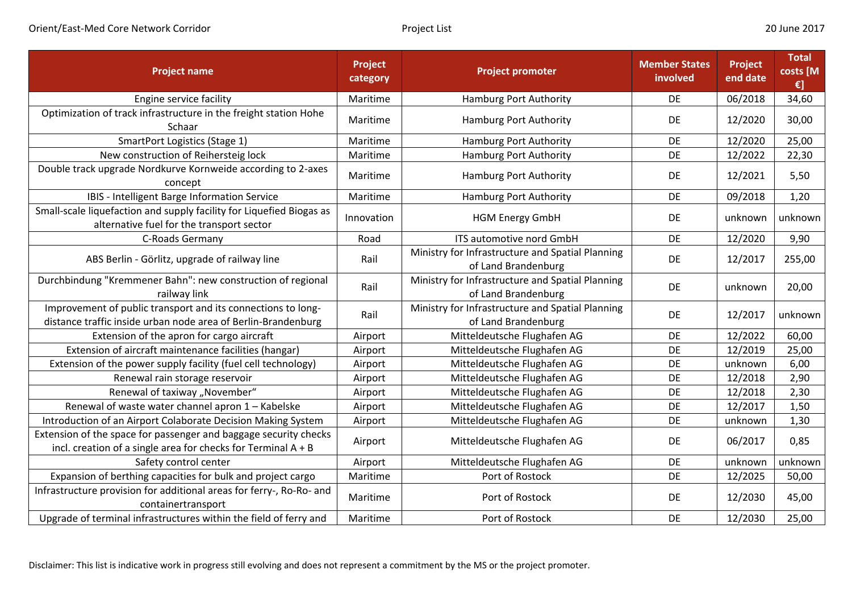| <b>Project name</b>                                                                                                                 | Project<br>category | <b>Project promoter</b>                                                 | <b>Member States</b><br>involved | Project<br>end date | <b>Total</b><br>costs [M<br>€] |
|-------------------------------------------------------------------------------------------------------------------------------------|---------------------|-------------------------------------------------------------------------|----------------------------------|---------------------|--------------------------------|
| Engine service facility                                                                                                             | Maritime            | Hamburg Port Authority                                                  | <b>DE</b>                        | 06/2018             | 34,60                          |
| Optimization of track infrastructure in the freight station Hohe<br>Schaar                                                          | Maritime            | Hamburg Port Authority                                                  | <b>DE</b>                        | 12/2020             | 30,00                          |
| SmartPort Logistics (Stage 1)                                                                                                       | Maritime            | <b>Hamburg Port Authority</b>                                           | <b>DE</b>                        | 12/2020             | 25,00                          |
| New construction of Reihersteig lock                                                                                                | Maritime            | <b>Hamburg Port Authority</b>                                           | DE                               | 12/2022             | 22,30                          |
| Double track upgrade Nordkurve Kornweide according to 2-axes<br>concept                                                             | Maritime            | Hamburg Port Authority                                                  | DE                               | 12/2021             | 5,50                           |
| IBIS - Intelligent Barge Information Service                                                                                        | Maritime            | Hamburg Port Authority                                                  | <b>DE</b>                        | 09/2018             | 1,20                           |
| Small-scale liquefaction and supply facility for Liquefied Biogas as<br>alternative fuel for the transport sector                   | Innovation          | <b>HGM Energy GmbH</b>                                                  | DE                               | unknown             | unknown                        |
| C-Roads Germany                                                                                                                     | Road                | ITS automotive nord GmbH                                                | DE                               | 12/2020             | 9,90                           |
| ABS Berlin - Görlitz, upgrade of railway line                                                                                       | Rail                | Ministry for Infrastructure and Spatial Planning<br>of Land Brandenburg | DE                               | 12/2017             | 255,00                         |
| Durchbindung "Kremmener Bahn": new construction of regional<br>railway link                                                         | Rail                | Ministry for Infrastructure and Spatial Planning<br>of Land Brandenburg | DE                               | unknown             | 20,00                          |
| Improvement of public transport and its connections to long-<br>distance traffic inside urban node area of Berlin-Brandenburg       | Rail                | Ministry for Infrastructure and Spatial Planning<br>of Land Brandenburg | DE                               | 12/2017             | unknown                        |
| Extension of the apron for cargo aircraft                                                                                           | Airport             | Mitteldeutsche Flughafen AG                                             | DE                               | 12/2022             | 60,00                          |
| Extension of aircraft maintenance facilities (hangar)                                                                               | Airport             | Mitteldeutsche Flughafen AG                                             | DE                               | 12/2019             | 25,00                          |
| Extension of the power supply facility (fuel cell technology)                                                                       | Airport             | Mitteldeutsche Flughafen AG                                             | <b>DE</b>                        | unknown             | 6,00                           |
| Renewal rain storage reservoir                                                                                                      | Airport             | Mitteldeutsche Flughafen AG                                             | DE                               | 12/2018             | 2,90                           |
| Renewal of taxiway "November"                                                                                                       | Airport             | Mitteldeutsche Flughafen AG                                             | DE                               | 12/2018             | 2,30                           |
| Renewal of waste water channel apron 1 - Kabelske                                                                                   | Airport             | Mitteldeutsche Flughafen AG                                             | DE                               | 12/2017             | 1,50                           |
| Introduction of an Airport Colaborate Decision Making System                                                                        | Airport             | Mitteldeutsche Flughafen AG                                             | DE                               | unknown             | 1,30                           |
| Extension of the space for passenger and baggage security checks<br>incl. creation of a single area for checks for Terminal $A + B$ | Airport             | Mitteldeutsche Flughafen AG                                             | DE                               | 06/2017             | 0,85                           |
| Safety control center                                                                                                               | Airport             | Mitteldeutsche Flughafen AG                                             | <b>DE</b>                        | unknown             | unknown                        |
| Expansion of berthing capacities for bulk and project cargo                                                                         | Maritime            | Port of Rostock                                                         | DE                               | 12/2025             | 50,00                          |
| Infrastructure provision for additional areas for ferry-, Ro-Ro- and<br>containertransport                                          | Maritime            | Port of Rostock                                                         | DE                               | 12/2030             | 45,00                          |
| Upgrade of terminal infrastructures within the field of ferry and                                                                   | Maritime            | Port of Rostock                                                         | DE                               | 12/2030             | 25,00                          |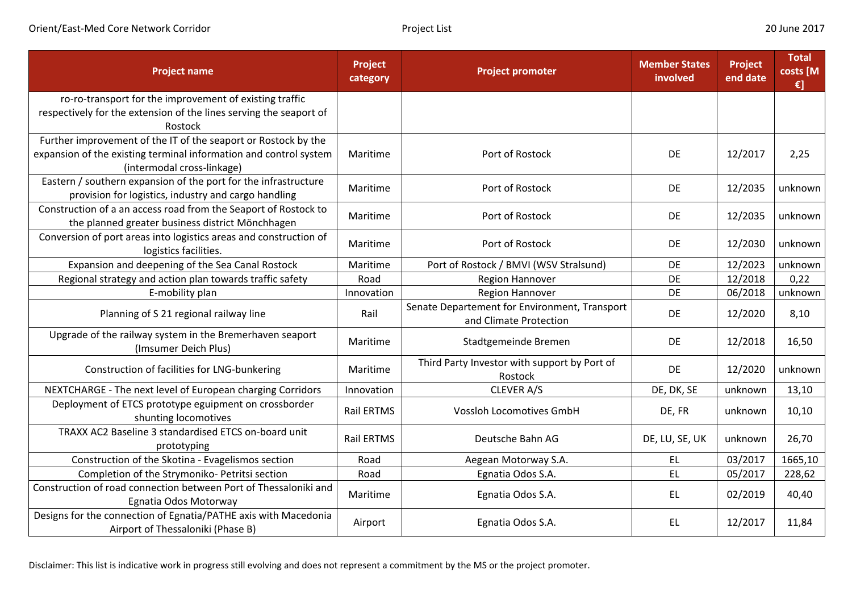| <b>Project name</b>                                                                                                                                               | <b>Project</b><br>category | <b>Project promoter</b>                                                 | <b>Member States</b><br>involved | <b>Project</b><br>end date | <b>Total</b><br>costs [M<br>$\epsilon$ ] |
|-------------------------------------------------------------------------------------------------------------------------------------------------------------------|----------------------------|-------------------------------------------------------------------------|----------------------------------|----------------------------|------------------------------------------|
| ro-ro-transport for the improvement of existing traffic<br>respectively for the extension of the lines serving the seaport of<br>Rostock                          |                            |                                                                         |                                  |                            |                                          |
| Further improvement of the IT of the seaport or Rostock by the<br>expansion of the existing terminal information and control system<br>(intermodal cross-linkage) | Maritime                   | Port of Rostock                                                         | DE                               | 12/2017                    | 2,25                                     |
| Eastern / southern expansion of the port for the infrastructure<br>provision for logistics, industry and cargo handling                                           | Maritime                   | Port of Rostock                                                         | DE                               | 12/2035                    | unknown                                  |
| Construction of a an access road from the Seaport of Rostock to<br>the planned greater business district Mönchhagen                                               | Maritime                   | Port of Rostock                                                         | DE                               | 12/2035                    | unknown                                  |
| Conversion of port areas into logistics areas and construction of<br>logistics facilities.                                                                        | Maritime                   | Port of Rostock                                                         | DE                               | 12/2030                    | unknown                                  |
| Expansion and deepening of the Sea Canal Rostock                                                                                                                  | Maritime                   | Port of Rostock / BMVI (WSV Stralsund)                                  | DE                               | 12/2023                    | unknown                                  |
| Regional strategy and action plan towards traffic safety                                                                                                          | Road                       | Region Hannover                                                         | DE                               | 12/2018                    | 0,22                                     |
| E-mobility plan                                                                                                                                                   | Innovation                 | <b>Region Hannover</b>                                                  | DE                               | 06/2018                    | unknown                                  |
| Planning of S 21 regional railway line                                                                                                                            | Rail                       | Senate Departement for Environment, Transport<br>and Climate Protection | DE                               | 12/2020                    | 8,10                                     |
| Upgrade of the railway system in the Bremerhaven seaport<br>(Imsumer Deich Plus)                                                                                  | Maritime                   | Stadtgemeinde Bremen                                                    | DE                               | 12/2018                    | 16,50                                    |
| Construction of facilities for LNG-bunkering                                                                                                                      | Maritime                   | Third Party Investor with support by Port of<br>Rostock                 | DE                               | 12/2020                    | unknown                                  |
| NEXTCHARGE - The next level of European charging Corridors                                                                                                        | Innovation                 | CLEVER A/S                                                              | DE, DK, SE                       | unknown                    | 13,10                                    |
| Deployment of ETCS prototype eguipment on crossborder<br>shunting locomotives                                                                                     | Rail ERTMS                 | <b>Vossloh Locomotives GmbH</b>                                         | DE, FR                           | unknown                    | 10,10                                    |
| TRAXX AC2 Baseline 3 standardised ETCS on-board unit<br>prototyping                                                                                               | <b>Rail ERTMS</b>          | Deutsche Bahn AG                                                        | DE, LU, SE, UK                   | unknown                    | 26,70                                    |
| Construction of the Skotina - Evagelismos section                                                                                                                 | Road                       | Aegean Motorway S.A.                                                    | EL                               | 03/2017                    | 1665,10                                  |
| Completion of the Strymoniko- Petritsi section                                                                                                                    | Road                       | Egnatia Odos S.A.                                                       | <b>EL</b>                        | 05/2017                    | 228,62                                   |
| Construction of road connection between Port of Thessaloniki and<br>Egnatia Odos Motorway                                                                         | Maritime                   | Egnatia Odos S.A.                                                       | <b>EL</b>                        | 02/2019                    | 40,40                                    |
| Designs for the connection of Egnatia/PATHE axis with Macedonia<br>Airport of Thessaloniki (Phase B)                                                              | Airport                    | Egnatia Odos S.A.                                                       | <b>EL</b>                        | 12/2017                    | 11,84                                    |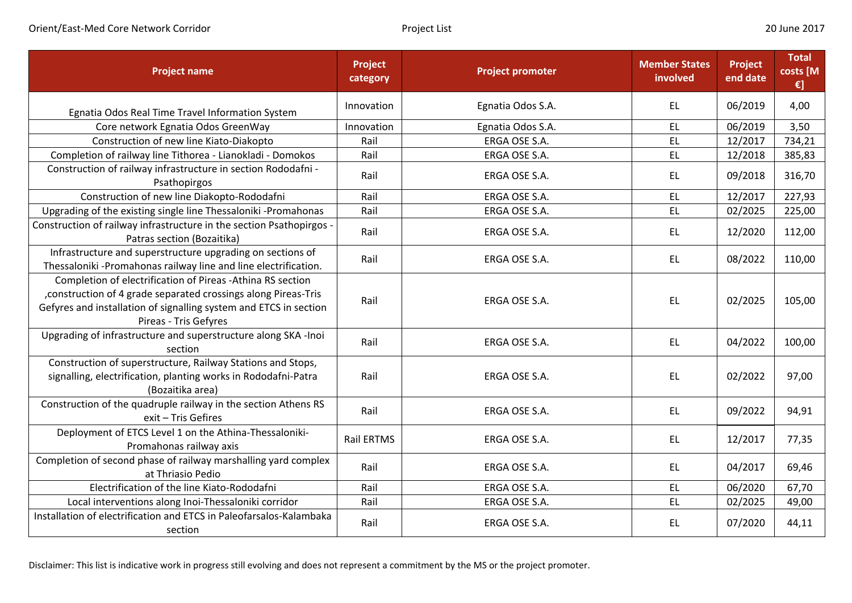Orient/East-Med Core Network Corridor **Communication Corear Corear Corear Corear Corear Corear Corear Corear Corear Corear Corear Corear Corear Corear Corear Corear Corear Corear Corear Corear Corear Corear Corear Corear C** 

| <b>Project name</b>                                                                                                                                                                                                         | Project<br>category | <b>Project promoter</b> | <b>Member States</b><br>involved | Project<br>end date | <b>Total</b><br>costs [M<br>$\epsilon$ ] |
|-----------------------------------------------------------------------------------------------------------------------------------------------------------------------------------------------------------------------------|---------------------|-------------------------|----------------------------------|---------------------|------------------------------------------|
| Egnatia Odos Real Time Travel Information System                                                                                                                                                                            | Innovation          | Egnatia Odos S.A.       | <b>EL</b>                        | 06/2019             | 4,00                                     |
| Core network Egnatia Odos GreenWay                                                                                                                                                                                          | Innovation          | Egnatia Odos S.A.       | EL.                              | 06/2019             | 3,50                                     |
| Construction of new line Kiato-Diakopto                                                                                                                                                                                     | Rail                | ERGA OSE S.A.           | EL                               | 12/2017             | 734,21                                   |
| Completion of railway line Tithorea - Lianokladi - Domokos                                                                                                                                                                  | Rail                | ERGA OSE S.A.           | <b>EL</b>                        | 12/2018             | 385,83                                   |
| Construction of railway infrastructure in section Rododafni -<br>Psathopirgos                                                                                                                                               | Rail                | ERGA OSE S.A.           | <b>EL</b>                        | 09/2018             | 316,70                                   |
| Construction of new line Diakopto-Rododafni                                                                                                                                                                                 | Rail                | ERGA OSE S.A.           | <b>EL</b>                        | 12/2017             | 227,93                                   |
| Upgrading of the existing single line Thessaloniki -Promahonas                                                                                                                                                              | Rail                | ERGA OSE S.A.           | EL                               | 02/2025             | 225,00                                   |
| Construction of railway infrastructure in the section Psathopirgos -<br>Patras section (Bozaitika)                                                                                                                          | Rail                | ERGA OSE S.A.           | <b>EL</b>                        | 12/2020             | 112,00                                   |
| Infrastructure and superstructure upgrading on sections of<br>Thessaloniki -Promahonas railway line and line electrification.                                                                                               | Rail                | ERGA OSE S.A.           | <b>EL</b>                        | 08/2022             | 110,00                                   |
| Completion of electrification of Pireas -Athina RS section<br>, construction of 4 grade separated crossings along Pireas-Tris<br>Gefyres and installation of signalling system and ETCS in section<br>Pireas - Tris Gefyres | Rail                | ERGA OSE S.A.           | <b>EL</b>                        | 02/2025             | 105,00                                   |
| Upgrading of infrastructure and superstructure along SKA -Inoi<br>section                                                                                                                                                   | Rail                | ERGA OSE S.A.           | <b>EL</b>                        | 04/2022             | 100,00                                   |
| Construction of superstructure, Railway Stations and Stops,<br>signalling, electrification, planting works in Rododafni-Patra<br>(Bozaitika area)                                                                           | Rail                | ERGA OSE S.A.           | EL                               | 02/2022             | 97,00                                    |
| Construction of the quadruple railway in the section Athens RS<br>exit - Tris Gefires                                                                                                                                       | Rail                | ERGA OSE S.A.           | <b>EL</b>                        | 09/2022             | 94,91                                    |
| Deployment of ETCS Level 1 on the Athina-Thessaloniki-<br>Promahonas railway axis                                                                                                                                           | <b>Rail ERTMS</b>   | ERGA OSE S.A.           | EL                               | 12/2017             | 77,35                                    |
| Completion of second phase of railway marshalling yard complex<br>at Thriasio Pedio                                                                                                                                         | Rail                | ERGA OSE S.A.           | <b>EL</b>                        | 04/2017             | 69,46                                    |
| Electrification of the line Kiato-Rododafni                                                                                                                                                                                 | Rail                | ERGA OSE S.A.           | EL                               | 06/2020             | 67,70                                    |
| Local interventions along Inoi-Thessaloniki corridor                                                                                                                                                                        | Rail                | ERGA OSE S.A.           | EL                               | 02/2025             | 49,00                                    |
| Installation of electrification and ETCS in Paleofarsalos-Kalambaka<br>section                                                                                                                                              | Rail                | ERGA OSE S.A.           | EL                               | 07/2020             | 44,11                                    |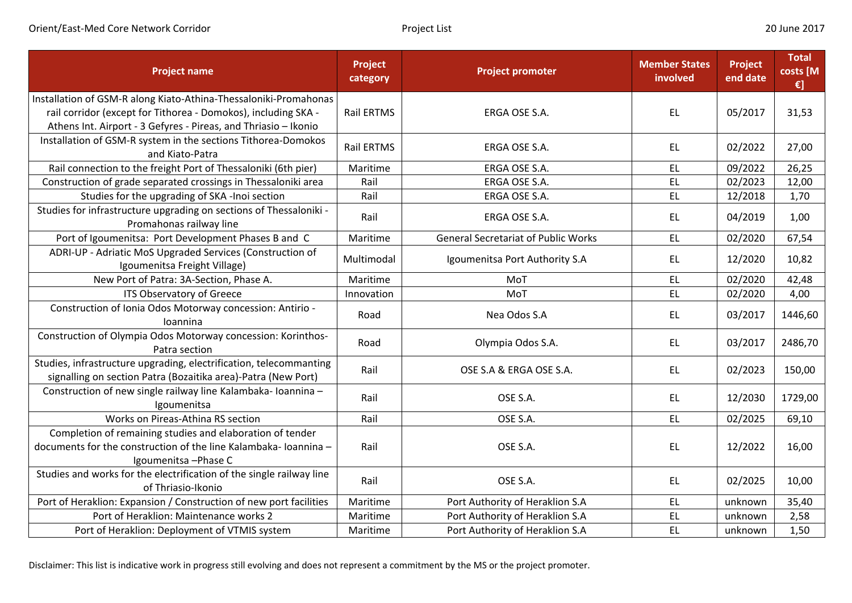| <b>Project name</b>                                                                           | Project<br>category | <b>Project promoter</b>                    | <b>Member States</b><br>involved | Project<br>end date | <b>Total</b><br>costs [M<br>€] |
|-----------------------------------------------------------------------------------------------|---------------------|--------------------------------------------|----------------------------------|---------------------|--------------------------------|
| Installation of GSM-R along Kiato-Athina-Thessaloniki-Promahonas                              |                     |                                            |                                  |                     |                                |
| rail corridor (except for Tithorea - Domokos), including SKA -                                | Rail ERTMS          | ERGA OSE S.A.                              | <b>EL</b>                        | 05/2017             | 31,53                          |
| Athens Int. Airport - 3 Gefyres - Pireas, and Thriasio - Ikonio                               |                     |                                            |                                  |                     |                                |
| Installation of GSM-R system in the sections Tithorea-Domokos<br>and Kiato-Patra              | Rail ERTMS          | ERGA OSE S.A.                              | <b>EL</b>                        | 02/2022             | 27,00                          |
| Rail connection to the freight Port of Thessaloniki (6th pier)                                | Maritime            | ERGA OSE S.A.                              | <b>EL</b>                        | 09/2022             | 26,25                          |
| Construction of grade separated crossings in Thessaloniki area                                | Rail                | ERGA OSE S.A.                              | EL                               | 02/2023             | 12,00                          |
| Studies for the upgrading of SKA -Inoi section                                                | Rail                | ERGA OSE S.A.                              | <b>EL</b>                        | 12/2018             | 1,70                           |
| Studies for infrastructure upgrading on sections of Thessaloniki -<br>Promahonas railway line | Rail                | ERGA OSE S.A.                              | <b>EL</b>                        | 04/2019             | 1,00                           |
| Port of Igoumenitsa: Port Development Phases B and C                                          | Maritime            | <b>General Secretariat of Public Works</b> | <b>EL</b>                        | 02/2020             | 67,54                          |
| ADRI-UP - Adriatic MoS Upgraded Services (Construction of<br>Igoumenitsa Freight Village)     | Multimodal          | Igoumenitsa Port Authority S.A             | <b>EL</b>                        | 12/2020             | 10,82                          |
| New Port of Patra: 3A-Section, Phase A.                                                       | Maritime            | MoT                                        | <b>EL</b>                        | 02/2020             | 42,48                          |
| ITS Observatory of Greece                                                                     | Innovation          | MoT                                        | EL                               | 02/2020             | 4,00                           |
| Construction of Ionia Odos Motorway concession: Antirio -                                     | Road                | Nea Odos S.A                               | EL.                              | 03/2017             | 1446,60                        |
| Ioannina                                                                                      |                     |                                            |                                  |                     |                                |
| Construction of Olympia Odos Motorway concession: Korinthos-<br>Patra section                 | Road                | Olympia Odos S.A.                          | <b>EL</b>                        | 03/2017             | 2486,70                        |
| Studies, infrastructure upgrading, electrification, telecommanting                            | Rail                | OSE S.A & ERGA OSE S.A.                    | EL                               | 02/2023             | 150,00                         |
| signalling on section Patra (Bozaitika area)-Patra (New Port)                                 |                     |                                            |                                  |                     |                                |
| Construction of new single railway line Kalambaka- Ioannina -<br>Igoumenitsa                  | Rail                | OSE S.A.                                   | EL                               | 12/2030             | 1729,00                        |
| Works on Pireas-Athina RS section                                                             | Rail                | OSE S.A.                                   | EL                               | 02/2025             | 69,10                          |
| Completion of remaining studies and elaboration of tender                                     |                     |                                            |                                  |                     |                                |
| documents for the construction of the line Kalambaka-Ioannina -                               | Rail                | OSE S.A.                                   | <b>EL</b>                        | 12/2022             | 16,00                          |
| Igoumenitsa - Phase C                                                                         |                     |                                            |                                  |                     |                                |
| Studies and works for the electrification of the single railway line                          | Rail                | OSE S.A.                                   | EL                               | 02/2025             | 10,00                          |
| of Thriasio-Ikonio                                                                            |                     |                                            |                                  |                     |                                |
| Port of Heraklion: Expansion / Construction of new port facilities                            | Maritime            | Port Authority of Heraklion S.A            | <b>EL</b>                        | unknown             | 35,40                          |
| Port of Heraklion: Maintenance works 2                                                        | Maritime            | Port Authority of Heraklion S.A            | <b>EL</b>                        | unknown             | 2,58                           |
| Port of Heraklion: Deployment of VTMIS system                                                 | Maritime            | Port Authority of Heraklion S.A            | <b>EL</b>                        | unknown             | 1,50                           |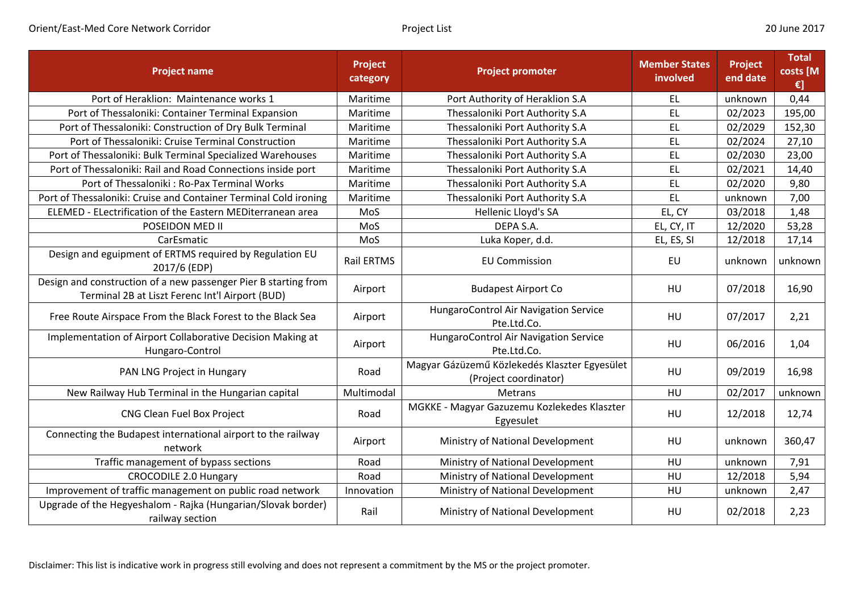| <b>Project name</b>                                                                                                | Project<br>category | <b>Project promoter</b>                                                | <b>Member States</b><br>involved | Project<br>end date | <b>Total</b><br>costs [M<br>€] |
|--------------------------------------------------------------------------------------------------------------------|---------------------|------------------------------------------------------------------------|----------------------------------|---------------------|--------------------------------|
| Port of Heraklion: Maintenance works 1                                                                             | Maritime            | Port Authority of Heraklion S.A                                        | EL                               | unknown             | 0,44                           |
| Port of Thessaloniki: Container Terminal Expansion                                                                 | Maritime            | Thessaloniki Port Authority S.A                                        | EL                               | 02/2023             | 195,00                         |
| Port of Thessaloniki: Construction of Dry Bulk Terminal                                                            | Maritime            | Thessaloniki Port Authority S.A                                        | <b>EL</b>                        | 02/2029             | 152,30                         |
| Port of Thessaloniki: Cruise Terminal Construction                                                                 | Maritime            | Thessaloniki Port Authority S.A                                        | <b>EL</b>                        | 02/2024             | 27,10                          |
| Port of Thessaloniki: Bulk Terminal Specialized Warehouses                                                         | Maritime            | Thessaloniki Port Authority S.A                                        | <b>EL</b>                        | 02/2030             | 23,00                          |
| Port of Thessaloniki: Rail and Road Connections inside port                                                        | Maritime            | Thessaloniki Port Authority S.A                                        | <b>EL</b>                        | 02/2021             | 14,40                          |
| Port of Thessaloniki: Ro-Pax Terminal Works                                                                        | Maritime            | Thessaloniki Port Authority S.A                                        | EL                               | 02/2020             | 9,80                           |
| Port of Thessaloniki: Cruise and Container Terminal Cold ironing                                                   | Maritime            | Thessaloniki Port Authority S.A                                        | EL                               | unknown             | 7,00                           |
| ELEMED - ELectrification of the Eastern MEDiterranean area                                                         | MoS                 | Hellenic Lloyd's SA                                                    | EL, CY                           | 03/2018             | 1,48                           |
| POSEIDON MED II                                                                                                    | MoS                 | DEPA S.A.                                                              | EL, CY, IT                       | 12/2020             | 53,28                          |
| CarEsmatic                                                                                                         | MoS                 | Luka Koper, d.d.                                                       | EL, ES, SI                       | 12/2018             | 17,14                          |
| Design and eguipment of ERTMS required by Regulation EU<br>2017/6 (EDP)                                            | <b>Rail ERTMS</b>   | <b>EU Commission</b>                                                   | EU                               | unknown             | unknown                        |
| Design and construction of a new passenger Pier B starting from<br>Terminal 2B at Liszt Ferenc Int'l Airport (BUD) | Airport             | <b>Budapest Airport Co</b>                                             | HU                               | 07/2018             | 16,90                          |
| Free Route Airspace From the Black Forest to the Black Sea                                                         | Airport             | HungaroControl Air Navigation Service<br>Pte.Ltd.Co.                   | HU                               | 07/2017             | 2,21                           |
| Implementation of Airport Collaborative Decision Making at<br>Hungaro-Control                                      | Airport             | HungaroControl Air Navigation Service<br>Pte.Ltd.Co.                   | HU                               | 06/2016             | 1,04                           |
| PAN LNG Project in Hungary                                                                                         | Road                | Magyar Gázüzemű Közlekedés Klaszter Egyesület<br>(Project coordinator) | HU                               | 09/2019             | 16,98                          |
| New Railway Hub Terminal in the Hungarian capital                                                                  | Multimodal          | Metrans                                                                | HU                               | 02/2017             | unknown                        |
| CNG Clean Fuel Box Project                                                                                         | Road                | MGKKE - Magyar Gazuzemu Kozlekedes Klaszter<br>Egyesulet               | HU                               | 12/2018             | 12,74                          |
| Connecting the Budapest international airport to the railway<br>network                                            | Airport             | Ministry of National Development                                       | HU                               | unknown             | 360,47                         |
| Traffic management of bypass sections                                                                              | Road                | Ministry of National Development                                       | HU                               | unknown             | 7,91                           |
| <b>CROCODILE 2.0 Hungary</b>                                                                                       | Road                | Ministry of National Development                                       | HU                               | 12/2018             | 5,94                           |
| Improvement of traffic management on public road network                                                           | Innovation          | Ministry of National Development                                       | HU                               | unknown             | 2,47                           |
| Upgrade of the Hegyeshalom - Rajka (Hungarian/Slovak border)<br>railway section                                    | Rail                | Ministry of National Development                                       | HU                               | 02/2018             | 2,23                           |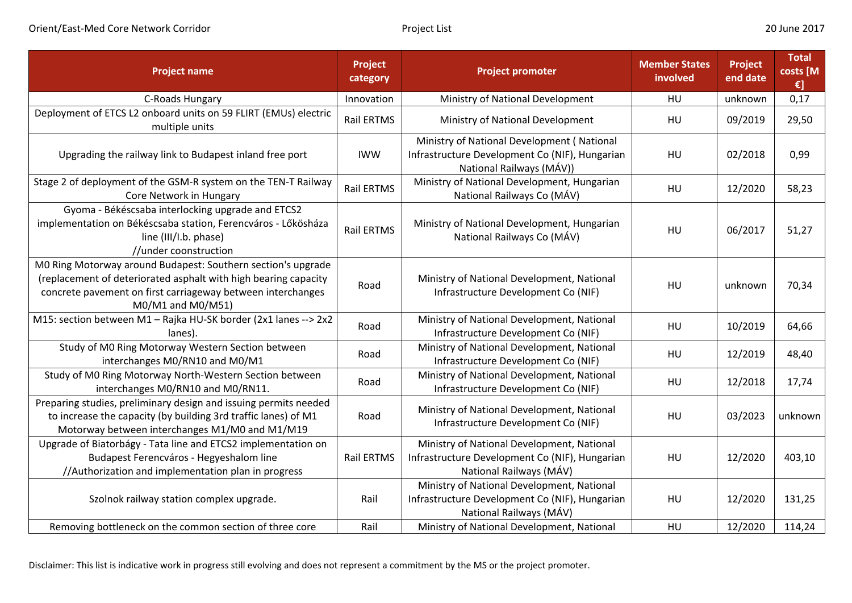| <b>Project name</b>                                                                                                                                                                                                 | Project<br>category | <b>Project promoter</b>                                                                                                  | <b>Member States</b><br>involved | Project<br>end date | <b>Total</b><br>costs [M<br>€] |
|---------------------------------------------------------------------------------------------------------------------------------------------------------------------------------------------------------------------|---------------------|--------------------------------------------------------------------------------------------------------------------------|----------------------------------|---------------------|--------------------------------|
| C-Roads Hungary                                                                                                                                                                                                     | Innovation          | Ministry of National Development                                                                                         | <b>HU</b>                        | unknown             | 0,17                           |
| Deployment of ETCS L2 onboard units on 59 FLIRT (EMUs) electric<br>multiple units                                                                                                                                   | Rail ERTMS          | Ministry of National Development                                                                                         | HU                               | 09/2019             | 29,50                          |
| Upgrading the railway link to Budapest inland free port                                                                                                                                                             | <b>IWW</b>          | Ministry of National Development (National<br>Infrastructure Development Co (NIF), Hungarian<br>National Railways (MÁV)) | HU                               | 02/2018             | 0,99                           |
| Stage 2 of deployment of the GSM-R system on the TEN-T Railway<br>Core Network in Hungary                                                                                                                           | Rail ERTMS          | Ministry of National Development, Hungarian<br>National Railways Co (MÁV)                                                | <b>HU</b>                        | 12/2020             | 58,23                          |
| Gyoma - Békéscsaba interlocking upgrade and ETCS2<br>implementation on Békéscsaba station, Ferencváros - Lőkösháza<br>line (III/I.b. phase)<br>//under coonstruction                                                | <b>Rail ERTMS</b>   | Ministry of National Development, Hungarian<br>National Railways Co (MÁV)                                                | <b>HU</b>                        | 06/2017             | 51,27                          |
| M0 Ring Motorway around Budapest: Southern section's upgrade<br>(replacement of deteriorated asphalt with high bearing capacity<br>concrete pavement on first carriageway between interchanges<br>M0/M1 and M0/M51) | Road                | Ministry of National Development, National<br>Infrastructure Development Co (NIF)                                        | <b>HU</b>                        | unknown             | 70,34                          |
| M15: section between M1 - Rajka HU-SK border (2x1 lanes --> 2x2<br>lanes).                                                                                                                                          | Road                | Ministry of National Development, National<br>Infrastructure Development Co (NIF)                                        | <b>HU</b>                        | 10/2019             | 64,66                          |
| Study of M0 Ring Motorway Western Section between<br>interchanges M0/RN10 and M0/M1                                                                                                                                 | Road                | Ministry of National Development, National<br>Infrastructure Development Co (NIF)                                        | <b>HU</b>                        | 12/2019             | 48,40                          |
| Study of M0 Ring Motorway North-Western Section between<br>interchanges M0/RN10 and M0/RN11.                                                                                                                        | Road                | Ministry of National Development, National<br>Infrastructure Development Co (NIF)                                        | HU                               | 12/2018             | 17,74                          |
| Preparing studies, preliminary design and issuing permits needed<br>to increase the capacity (by building 3rd traffic lanes) of M1<br>Motorway between interchanges M1/M0 and M1/M19                                | Road                | Ministry of National Development, National<br>Infrastructure Development Co (NIF)                                        | HU                               | 03/2023             | unknown                        |
| Upgrade of Biatorbágy - Tata line and ETCS2 implementation on<br>Budapest Ferencváros - Hegyeshalom line<br>//Authorization and implementation plan in progress                                                     | <b>Rail ERTMS</b>   | Ministry of National Development, National<br>Infrastructure Development Co (NIF), Hungarian<br>National Railways (MÁV)  | HU                               | 12/2020             | 403,10                         |
| Szolnok railway station complex upgrade.                                                                                                                                                                            | Rail                | Ministry of National Development, National<br>Infrastructure Development Co (NIF), Hungarian<br>National Railways (MÁV)  | <b>HU</b>                        | 12/2020             | 131,25                         |
| Removing bottleneck on the common section of three core                                                                                                                                                             | Rail                | Ministry of National Development, National                                                                               | HU                               | 12/2020             | 114,24                         |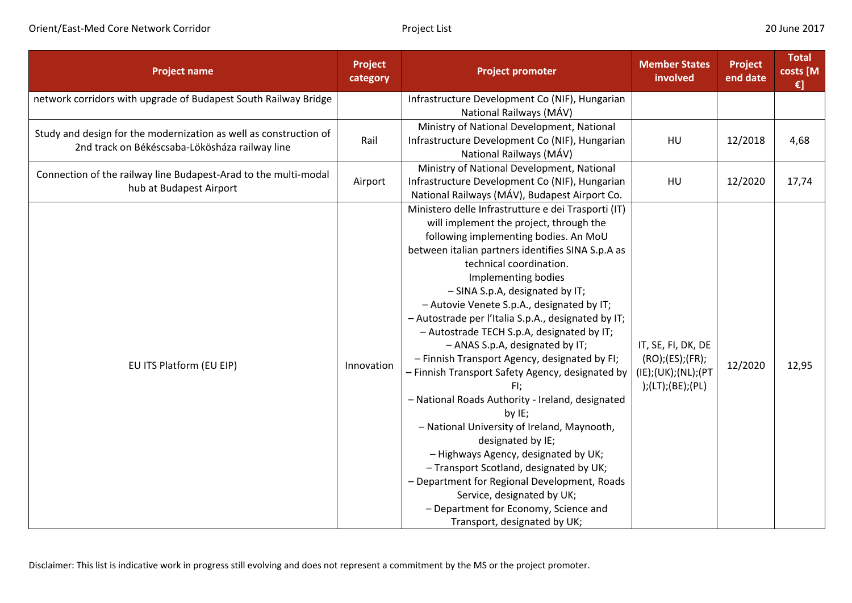| <b>Project name</b>                                                                                                 | Project<br>category | <b>Project promoter</b>                                                                                                                                                                                                                                                                                                                                                                                                                                                                                                                                                                                                                                                                                                                                                                                                                                                                                                                                         | <b>Member States</b><br>involved                                                  | <b>Project</b><br>end date | <b>Total</b><br>costs [M<br>€] |
|---------------------------------------------------------------------------------------------------------------------|---------------------|-----------------------------------------------------------------------------------------------------------------------------------------------------------------------------------------------------------------------------------------------------------------------------------------------------------------------------------------------------------------------------------------------------------------------------------------------------------------------------------------------------------------------------------------------------------------------------------------------------------------------------------------------------------------------------------------------------------------------------------------------------------------------------------------------------------------------------------------------------------------------------------------------------------------------------------------------------------------|-----------------------------------------------------------------------------------|----------------------------|--------------------------------|
| network corridors with upgrade of Budapest South Railway Bridge                                                     |                     | Infrastructure Development Co (NIF), Hungarian<br>National Railways (MÁV)                                                                                                                                                                                                                                                                                                                                                                                                                                                                                                                                                                                                                                                                                                                                                                                                                                                                                       |                                                                                   |                            |                                |
| Study and design for the modernization as well as construction of<br>2nd track on Békéscsaba-Lökösháza railway line | Rail                | Ministry of National Development, National<br>Infrastructure Development Co (NIF), Hungarian<br>National Railways (MÁV)                                                                                                                                                                                                                                                                                                                                                                                                                                                                                                                                                                                                                                                                                                                                                                                                                                         | HU                                                                                | 12/2018                    | 4,68                           |
| Connection of the railway line Budapest-Arad to the multi-modal<br>hub at Budapest Airport                          | Airport             | Ministry of National Development, National<br>Infrastructure Development Co (NIF), Hungarian<br>National Railways (MÁV), Budapest Airport Co.                                                                                                                                                                                                                                                                                                                                                                                                                                                                                                                                                                                                                                                                                                                                                                                                                   | HU                                                                                | 12/2020                    | 17,74                          |
| EU ITS Platform (EU EIP)                                                                                            | Innovation          | Ministero delle Infrastrutture e dei Trasporti (IT)<br>will implement the project, through the<br>following implementing bodies. An MoU<br>between italian partners identifies SINA S.p.A as<br>technical coordination.<br>Implementing bodies<br>- SINA S.p.A, designated by IT;<br>- Autovie Venete S.p.A., designated by IT;<br>- Autostrade per l'Italia S.p.A., designated by IT;<br>- Autostrade TECH S.p.A, designated by IT;<br>- ANAS S.p.A, designated by IT;<br>- Finnish Transport Agency, designated by FI;<br>- Finnish Transport Safety Agency, designated by<br>FI;<br>- National Roads Authority - Ireland, designated<br>by IE;<br>- National University of Ireland, Maynooth,<br>designated by IE;<br>- Highways Agency, designated by UK;<br>- Transport Scotland, designated by UK;<br>- Department for Regional Development, Roads<br>Service, designated by UK;<br>- Department for Economy, Science and<br>Transport, designated by UK; | IT, SE, FI, DK, DE<br>(RO); (ES); (FR);<br>(IE);(UK);(NL);(PT<br>);(LT);(BE);(PL) | 12/2020                    | 12,95                          |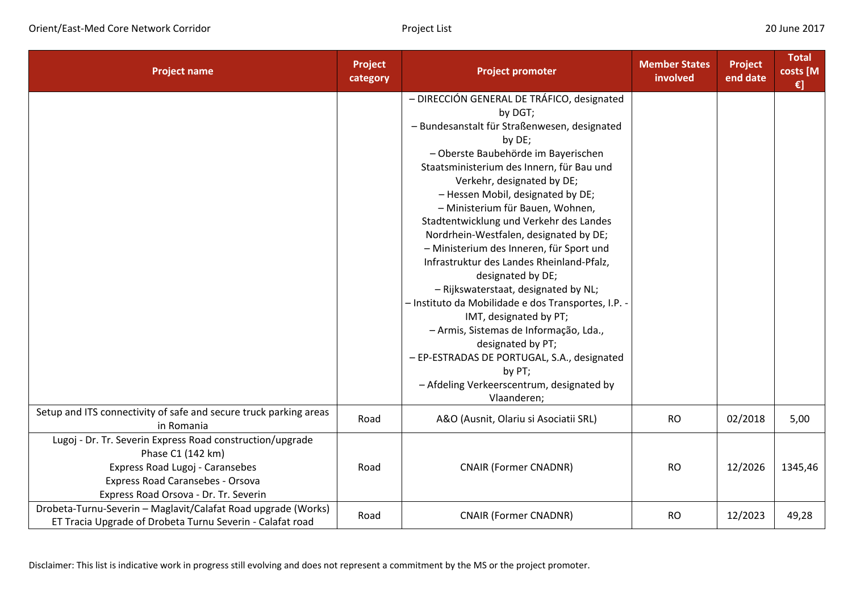| <b>Project name</b>                                                                                                                                                                            | Project<br>category | <b>Project promoter</b>                                                                                                                                                                                                                                                                                                                                                                                                                                                                                                                                                                                                                                                                                                                                                                                                    | <b>Member States</b><br>involved | <b>Project</b><br>end date | <b>Total</b><br>costs [M<br>$\epsilon$ ] |
|------------------------------------------------------------------------------------------------------------------------------------------------------------------------------------------------|---------------------|----------------------------------------------------------------------------------------------------------------------------------------------------------------------------------------------------------------------------------------------------------------------------------------------------------------------------------------------------------------------------------------------------------------------------------------------------------------------------------------------------------------------------------------------------------------------------------------------------------------------------------------------------------------------------------------------------------------------------------------------------------------------------------------------------------------------------|----------------------------------|----------------------------|------------------------------------------|
|                                                                                                                                                                                                |                     | - DIRECCIÓN GENERAL DE TRÁFICO, designated<br>by DGT;<br>- Bundesanstalt für Straßenwesen, designated<br>by DE;<br>- Oberste Baubehörde im Bayerischen<br>Staatsministerium des Innern, für Bau und<br>Verkehr, designated by DE;<br>- Hessen Mobil, designated by DE;<br>- Ministerium für Bauen, Wohnen,<br>Stadtentwicklung und Verkehr des Landes<br>Nordrhein-Westfalen, designated by DE;<br>- Ministerium des Inneren, für Sport und<br>Infrastruktur des Landes Rheinland-Pfalz,<br>designated by DE;<br>- Rijkswaterstaat, designated by NL;<br>- Instituto da Mobilidade e dos Transportes, I.P. -<br>IMT, designated by PT;<br>- Armis, Sistemas de Informação, Lda.,<br>designated by PT;<br>- EP-ESTRADAS DE PORTUGAL, S.A., designated<br>by PT;<br>- Afdeling Verkeerscentrum, designated by<br>Vlaanderen; |                                  |                            |                                          |
| Setup and ITS connectivity of safe and secure truck parking areas<br>in Romania                                                                                                                | Road                | A&O (Ausnit, Olariu si Asociatii SRL)                                                                                                                                                                                                                                                                                                                                                                                                                                                                                                                                                                                                                                                                                                                                                                                      | <b>RO</b>                        | 02/2018                    | 5,00                                     |
| Lugoj - Dr. Tr. Severin Express Road construction/upgrade<br>Phase C1 (142 km)<br>Express Road Lugoj - Caransebes<br>Express Road Caransebes - Orsova<br>Express Road Orsova - Dr. Tr. Severin | Road                | <b>CNAIR (Former CNADNR)</b>                                                                                                                                                                                                                                                                                                                                                                                                                                                                                                                                                                                                                                                                                                                                                                                               | <b>RO</b>                        | 12/2026                    | 1345,46                                  |
| Drobeta-Turnu-Severin - Maglavit/Calafat Road upgrade (Works)<br>ET Tracia Upgrade of Drobeta Turnu Severin - Calafat road                                                                     | Road                | <b>CNAIR (Former CNADNR)</b>                                                                                                                                                                                                                                                                                                                                                                                                                                                                                                                                                                                                                                                                                                                                                                                               | <b>RO</b>                        | 12/2023                    | 49,28                                    |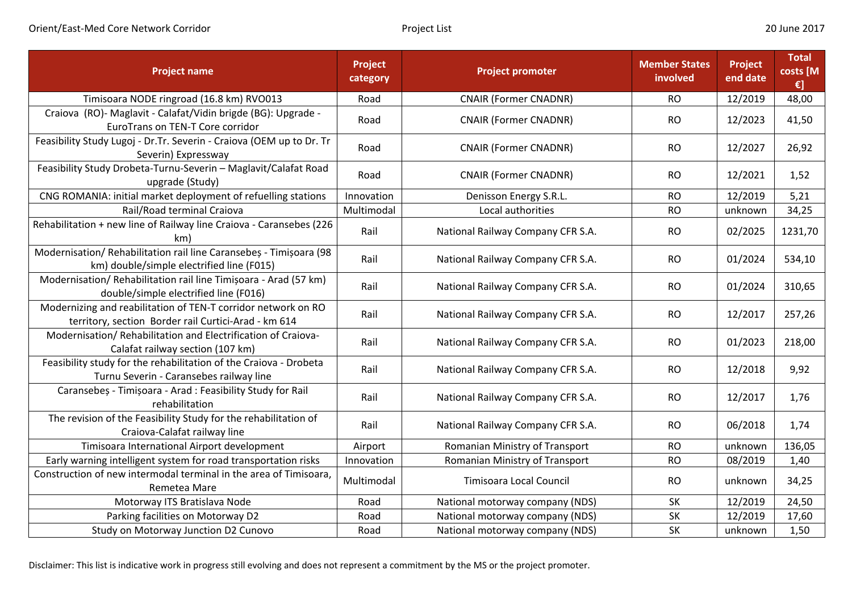| <b>Project name</b>                                                                                                   | Project<br>category | <b>Project promoter</b>           | <b>Member States</b><br>involved | Project<br>end date | <b>Total</b><br>costs [M<br>€] |
|-----------------------------------------------------------------------------------------------------------------------|---------------------|-----------------------------------|----------------------------------|---------------------|--------------------------------|
| Timisoara NODE ringroad (16.8 km) RVO013                                                                              | Road                | <b>CNAIR (Former CNADNR)</b>      | <b>RO</b>                        | 12/2019             | 48,00                          |
| Craiova (RO)- Maglavit - Calafat/Vidin brigde (BG): Upgrade -<br>EuroTrans on TEN-T Core corridor                     | Road                | <b>CNAIR (Former CNADNR)</b>      | <b>RO</b>                        | 12/2023             | 41,50                          |
| Feasibility Study Lugoj - Dr.Tr. Severin - Craiova (OEM up to Dr. Tr<br>Severin) Expressway                           | Road                | <b>CNAIR (Former CNADNR)</b>      | <b>RO</b>                        | 12/2027             | 26,92                          |
| Feasibility Study Drobeta-Turnu-Severin - Maglavit/Calafat Road<br>upgrade (Study)                                    | Road                | <b>CNAIR (Former CNADNR)</b>      | <b>RO</b>                        | 12/2021             | 1,52                           |
| CNG ROMANIA: initial market deployment of refuelling stations                                                         | Innovation          | Denisson Energy S.R.L.            | <b>RO</b>                        | 12/2019             | 5,21                           |
| Rail/Road terminal Craiova                                                                                            | Multimodal          | Local authorities                 | <b>RO</b>                        | unknown             | 34,25                          |
| Rehabilitation + new line of Railway line Craiova - Caransebes (226<br>km)                                            | Rail                | National Railway Company CFR S.A. | <b>RO</b>                        | 02/2025             | 1231,70                        |
| Modernisation/ Rehabilitation rail line Caransebeș - Timișoara (98<br>km) double/simple electrified line (F015)       | Rail                | National Railway Company CFR S.A. | <b>RO</b>                        | 01/2024             | 534,10                         |
| Modernisation/ Rehabilitation rail line Timișoara - Arad (57 km)<br>double/simple electrified line (F016)             | Rail                | National Railway Company CFR S.A. | <b>RO</b>                        | 01/2024             | 310,65                         |
| Modernizing and reabilitation of TEN-T corridor network on RO<br>territory, section Border rail Curtici-Arad - km 614 | Rail                | National Railway Company CFR S.A. | <b>RO</b>                        | 12/2017             | 257,26                         |
| Modernisation/ Rehabilitation and Electrification of Craiova-<br>Calafat railway section (107 km)                     | Rail                | National Railway Company CFR S.A. | <b>RO</b>                        | 01/2023             | 218,00                         |
| Feasibility study for the rehabilitation of the Craiova - Drobeta<br>Turnu Severin - Caransebes railway line          | Rail                | National Railway Company CFR S.A. | <b>RO</b>                        | 12/2018             | 9,92                           |
| Caransebeș - Timișoara - Arad : Feasibility Study for Rail<br>rehabilitation                                          | Rail                | National Railway Company CFR S.A. | <b>RO</b>                        | 12/2017             | 1,76                           |
| The revision of the Feasibility Study for the rehabilitation of<br>Craiova-Calafat railway line                       | Rail                | National Railway Company CFR S.A. | <b>RO</b>                        | 06/2018             | 1,74                           |
| Timisoara International Airport development                                                                           | Airport             | Romanian Ministry of Transport    | <b>RO</b>                        | unknown             | 136,05                         |
| Early warning intelligent system for road transportation risks                                                        | Innovation          | Romanian Ministry of Transport    | <b>RO</b>                        | 08/2019             | 1,40                           |
| Construction of new intermodal terminal in the area of Timisoara,<br>Remetea Mare                                     | Multimodal          | <b>Timisoara Local Council</b>    | <b>RO</b>                        | unknown             | 34,25                          |
| Motorway ITS Bratislava Node                                                                                          | Road                | National motorway company (NDS)   | <b>SK</b>                        | 12/2019             | 24,50                          |
| Parking facilities on Motorway D2                                                                                     | Road                | National motorway company (NDS)   | <b>SK</b>                        | 12/2019             | 17,60                          |
| Study on Motorway Junction D2 Cunovo                                                                                  | Road                | National motorway company (NDS)   | <b>SK</b>                        | unknown             | 1,50                           |